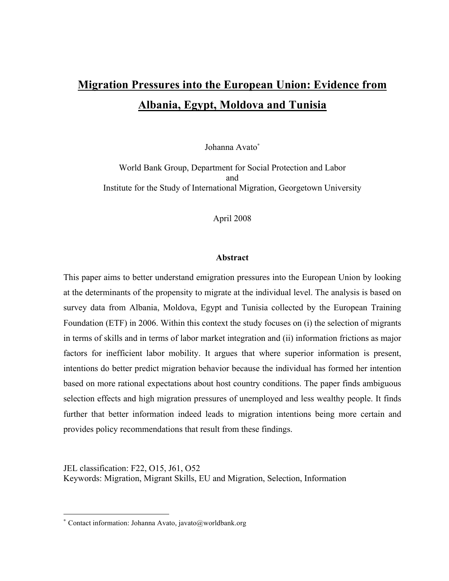# **Migration Pressures into the European Union: Evidence from Albania, Egypt, Moldova and Tunisia**

Johanna Avato<sup>∗</sup>

World Bank Group, Department for Social Protection and Labor and Institute for the Study of International Migration, Georgetown University

April 2008

#### **Abstract**

This paper aims to better understand emigration pressures into the European Union by looking at the determinants of the propensity to migrate at the individual level. The analysis is based on survey data from Albania, Moldova, Egypt and Tunisia collected by the European Training Foundation (ETF) in 2006. Within this context the study focuses on (i) the selection of migrants in terms of skills and in terms of labor market integration and (ii) information frictions as major factors for inefficient labor mobility. It argues that where superior information is present, intentions do better predict migration behavior because the individual has formed her intention based on more rational expectations about host country conditions. The paper finds ambiguous selection effects and high migration pressures of unemployed and less wealthy people. It finds further that better information indeed leads to migration intentions being more certain and provides policy recommendations that result from these findings.

JEL classification: F22, O15, J61, O52 Keywords: Migration, Migrant Skills, EU and Migration, Selection, Information

1

<sup>∗</sup> Contact information: Johanna Avato, javato@worldbank.org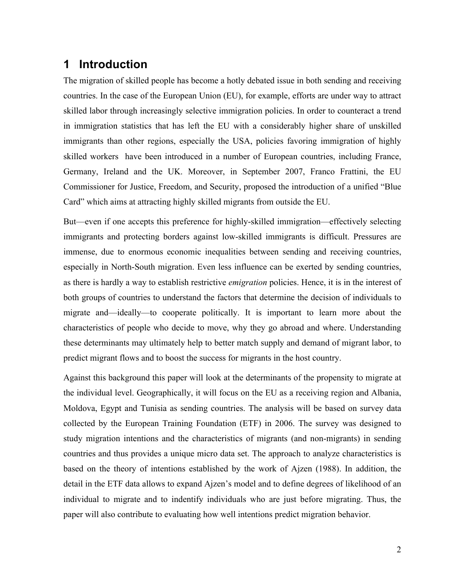## **1 Introduction**

The migration of skilled people has become a hotly debated issue in both sending and receiving countries. In the case of the European Union (EU), for example, efforts are under way to attract skilled labor through increasingly selective immigration policies. In order to counteract a trend in immigration statistics that has left the EU with a considerably higher share of unskilled immigrants than other regions, especially the USA, policies favoring immigration of highly skilled workers have been introduced in a number of European countries, including France, Germany, Ireland and the UK. Moreover, in September 2007, Franco Frattini, the EU Commissioner for Justice, Freedom, and Security, proposed the introduction of a unified "Blue Card" which aims at attracting highly skilled migrants from outside the EU.

But—even if one accepts this preference for highly-skilled immigration—effectively selecting immigrants and protecting borders against low-skilled immigrants is difficult. Pressures are immense, due to enormous economic inequalities between sending and receiving countries, especially in North-South migration. Even less influence can be exerted by sending countries, as there is hardly a way to establish restrictive *emigration* policies. Hence, it is in the interest of both groups of countries to understand the factors that determine the decision of individuals to migrate and—ideally—to cooperate politically. It is important to learn more about the characteristics of people who decide to move, why they go abroad and where. Understanding these determinants may ultimately help to better match supply and demand of migrant labor, to predict migrant flows and to boost the success for migrants in the host country.

Against this background this paper will look at the determinants of the propensity to migrate at the individual level. Geographically, it will focus on the EU as a receiving region and Albania, Moldova, Egypt and Tunisia as sending countries. The analysis will be based on survey data collected by the European Training Foundation (ETF) in 2006. The survey was designed to study migration intentions and the characteristics of migrants (and non-migrants) in sending countries and thus provides a unique micro data set. The approach to analyze characteristics is based on the theory of intentions established by the work of Ajzen (1988). In addition, the detail in the ETF data allows to expand Ajzen's model and to define degrees of likelihood of an individual to migrate and to indentify individuals who are just before migrating. Thus, the paper will also contribute to evaluating how well intentions predict migration behavior.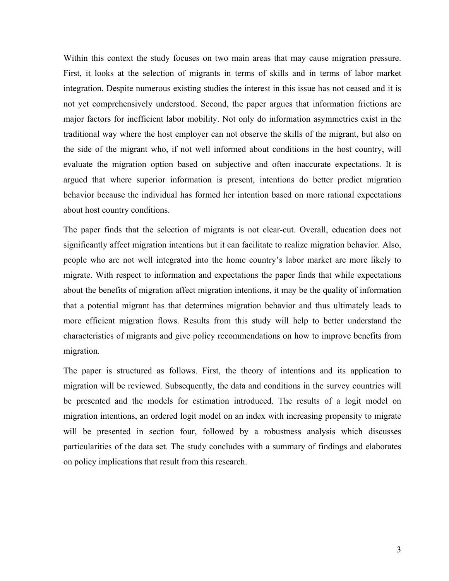Within this context the study focuses on two main areas that may cause migration pressure. First, it looks at the selection of migrants in terms of skills and in terms of labor market integration. Despite numerous existing studies the interest in this issue has not ceased and it is not yet comprehensively understood. Second, the paper argues that information frictions are major factors for inefficient labor mobility. Not only do information asymmetries exist in the traditional way where the host employer can not observe the skills of the migrant, but also on the side of the migrant who, if not well informed about conditions in the host country, will evaluate the migration option based on subjective and often inaccurate expectations. It is argued that where superior information is present, intentions do better predict migration behavior because the individual has formed her intention based on more rational expectations about host country conditions.

The paper finds that the selection of migrants is not clear-cut. Overall, education does not significantly affect migration intentions but it can facilitate to realize migration behavior. Also, people who are not well integrated into the home country's labor market are more likely to migrate. With respect to information and expectations the paper finds that while expectations about the benefits of migration affect migration intentions, it may be the quality of information that a potential migrant has that determines migration behavior and thus ultimately leads to more efficient migration flows. Results from this study will help to better understand the characteristics of migrants and give policy recommendations on how to improve benefits from migration.

The paper is structured as follows. First, the theory of intentions and its application to migration will be reviewed. Subsequently, the data and conditions in the survey countries will be presented and the models for estimation introduced. The results of a logit model on migration intentions, an ordered logit model on an index with increasing propensity to migrate will be presented in section four, followed by a robustness analysis which discusses particularities of the data set. The study concludes with a summary of findings and elaborates on policy implications that result from this research.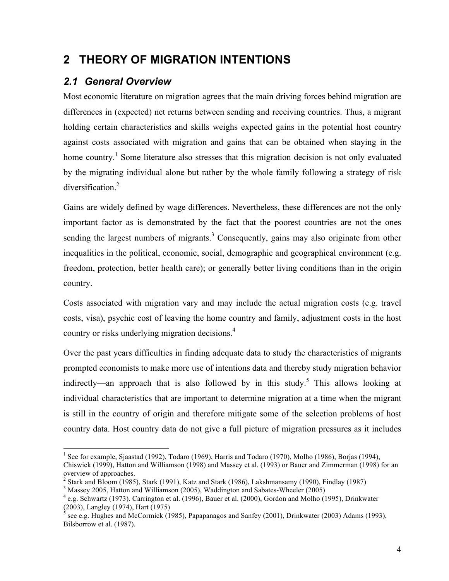# **2 THEORY OF MIGRATION INTENTIONS**

## *2.1 General Overview*

Most economic literature on migration agrees that the main driving forces behind migration are differences in (expected) net returns between sending and receiving countries. Thus, a migrant holding certain characteristics and skills weighs expected gains in the potential host country against costs associated with migration and gains that can be obtained when staying in the home country.<sup>1</sup> Some literature also stresses that this migration decision is not only evaluated by the migrating individual alone but rather by the whole family following a strategy of risk diversification.<sup>2</sup>

Gains are widely defined by wage differences. Nevertheless, these differences are not the only important factor as is demonstrated by the fact that the poorest countries are not the ones sending the largest numbers of migrants.<sup>3</sup> Consequently, gains may also originate from other inequalities in the political, economic, social, demographic and geographical environment (e.g. freedom, protection, better health care); or generally better living conditions than in the origin country.

Costs associated with migration vary and may include the actual migration costs (e.g. travel costs, visa), psychic cost of leaving the home country and family, adjustment costs in the host country or risks underlying migration decisions.4

Over the past years difficulties in finding adequate data to study the characteristics of migrants prompted economists to make more use of intentions data and thereby study migration behavior indirectly—an approach that is also followed by in this study.<sup>5</sup> This allows looking at individual characteristics that are important to determine migration at a time when the migrant is still in the country of origin and therefore mitigate some of the selection problems of host country data. Host country data do not give a full picture of migration pressures as it includes

<sup>&</sup>lt;sup>1</sup> See for example, Sjaastad (1992), Todaro (1969), Harris and Todaro (1970), Molho (1986), Borjas (1994), Chiswick (1999), Hatton and Williamson (1998) and Massey et al. (1993) or Bauer and Zimmerman (1998) for an overview of approaches.

 $2$  Stark and Bloom (1985), Stark (1991), Katz and Stark (1986), Lakshmansamy (1990), Findlay (1987)

<sup>&</sup>lt;sup>3</sup> Massey 2005, Hatton and Williamson (2005), Waddington and Sabates-Wheeler (2005)<br><sup>4</sup> e.g. Schwartz (1973). Carrington et al. (1996), Bauer et al. (2000), Gordon and Molho (1995), Drinkwater (2003), Langley (1974), Har

see e.g. Hughes and McCormick (1985), Papapanagos and Sanfey (2001), Drinkwater (2003) Adams (1993), Bilsborrow et al. (1987).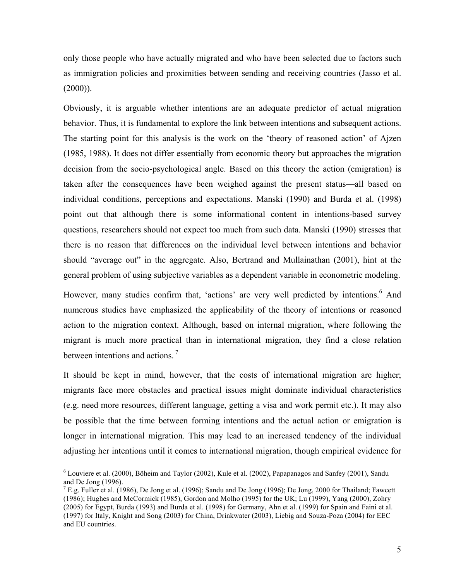only those people who have actually migrated and who have been selected due to factors such as immigration policies and proximities between sending and receiving countries (Jasso et al.  $(2000)$ ).

Obviously, it is arguable whether intentions are an adequate predictor of actual migration behavior. Thus, it is fundamental to explore the link between intentions and subsequent actions. The starting point for this analysis is the work on the 'theory of reasoned action' of Ajzen (1985, 1988). It does not differ essentially from economic theory but approaches the migration decision from the socio-psychological angle. Based on this theory the action (emigration) is taken after the consequences have been weighed against the present status—all based on individual conditions, perceptions and expectations. Manski (1990) and Burda et al. (1998) point out that although there is some informational content in intentions-based survey questions, researchers should not expect too much from such data. Manski (1990) stresses that there is no reason that differences on the individual level between intentions and behavior should "average out" in the aggregate. Also, Bertrand and Mullainathan (2001), hint at the general problem of using subjective variables as a dependent variable in econometric modeling.

However, many studies confirm that, 'actions' are very well predicted by intentions.<sup>6</sup> And numerous studies have emphasized the applicability of the theory of intentions or reasoned action to the migration context. Although, based on internal migration, where following the migrant is much more practical than in international migration, they find a close relation between intentions and actions.<sup>7</sup>

It should be kept in mind, however, that the costs of international migration are higher; migrants face more obstacles and practical issues might dominate individual characteristics (e.g. need more resources, different language, getting a visa and work permit etc.). It may also be possible that the time between forming intentions and the actual action or emigration is longer in international migration. This may lead to an increased tendency of the individual adjusting her intentions until it comes to international migration, though empirical evidence for

 <sup>6</sup> Louviere et al. (2000), Böheim and Taylor (2002), Kule et al. (2002), Papapanagos and Sanfey (2001), Sandu and De Jong (1996).<br><sup>7</sup> E.g. Fuller et al. (1986), De Jong et al. (1996); Sandu and De Jong (1996); De Jong, 2000 for Thailand; Fawcett

<sup>(1986);</sup> Hughes and McCormick (1985), Gordon and Molho (1995) for the UK; Lu (1999), Yang (2000), Zohry (2005) for Egypt, Burda (1993) and Burda et al. (1998) for Germany, Ahn et al. (1999) for Spain and Faini et al. (1997) for Italy, Knight and Song (2003) for China, Drinkwater (2003), Liebig and Souza-Poza (2004) for EEC and EU countries.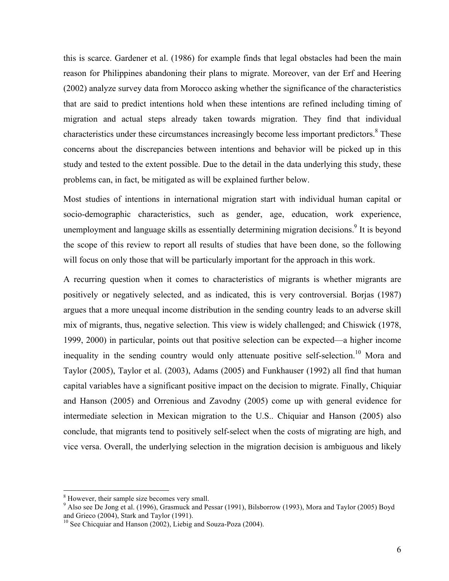this is scarce. Gardener et al. (1986) for example finds that legal obstacles had been the main reason for Philippines abandoning their plans to migrate. Moreover, van der Erf and Heering (2002) analyze survey data from Morocco asking whether the significance of the characteristics that are said to predict intentions hold when these intentions are refined including timing of migration and actual steps already taken towards migration. They find that individual characteristics under these circumstances increasingly become less important predictors.<sup>8</sup> These concerns about the discrepancies between intentions and behavior will be picked up in this study and tested to the extent possible. Due to the detail in the data underlying this study, these problems can, in fact, be mitigated as will be explained further below.

Most studies of intentions in international migration start with individual human capital or socio-demographic characteristics, such as gender, age, education, work experience, unemployment and language skills as essentially determining migration decisions.<sup>9</sup> It is beyond the scope of this review to report all results of studies that have been done, so the following will focus on only those that will be particularly important for the approach in this work.

A recurring question when it comes to characteristics of migrants is whether migrants are positively or negatively selected, and as indicated, this is very controversial. Borjas (1987) argues that a more unequal income distribution in the sending country leads to an adverse skill mix of migrants, thus, negative selection. This view is widely challenged; and Chiswick (1978, 1999, 2000) in particular, points out that positive selection can be expected—a higher income inequality in the sending country would only attenuate positive self-selection.<sup>10</sup> Mora and Taylor (2005), Taylor et al. (2003), Adams (2005) and Funkhauser (1992) all find that human capital variables have a significant positive impact on the decision to migrate. Finally, Chiquiar and Hanson (2005) and Orrenious and Zavodny (2005) come up with general evidence for intermediate selection in Mexican migration to the U.S.. Chiquiar and Hanson (2005) also conclude, that migrants tend to positively self-select when the costs of migrating are high, and vice versa. Overall, the underlying selection in the migration decision is ambiguous and likely

<sup>&</sup>lt;sup>8</sup> However, their sample size becomes very small.<br><sup>9</sup> Also see De Jong et al. (1996), Grasmuck and Pessar (1991), Bilsborrow (1993), Mora and Taylor (2005) Boyd and Grieco (2004), Stark and Taylor (1991).

 $10$  See Chicquiar and Hanson (2002), Liebig and Souza-Poza (2004).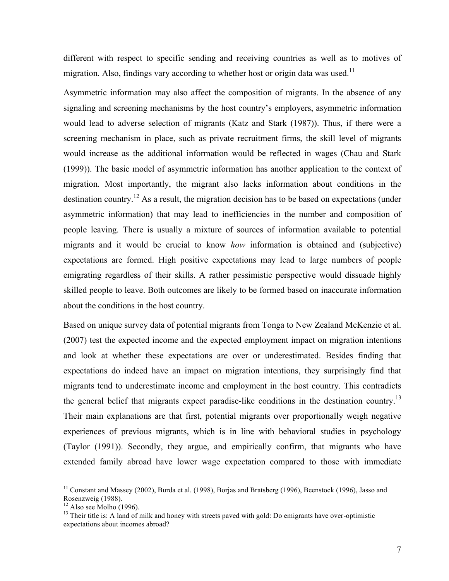different with respect to specific sending and receiving countries as well as to motives of migration. Also, findings vary according to whether host or origin data was used.<sup>11</sup>

Asymmetric information may also affect the composition of migrants. In the absence of any signaling and screening mechanisms by the host country's employers, asymmetric information would lead to adverse selection of migrants (Katz and Stark (1987)). Thus, if there were a screening mechanism in place, such as private recruitment firms, the skill level of migrants would increase as the additional information would be reflected in wages (Chau and Stark (1999)). The basic model of asymmetric information has another application to the context of migration. Most importantly, the migrant also lacks information about conditions in the destination country.<sup>12</sup> As a result, the migration decision has to be based on expectations (under asymmetric information) that may lead to inefficiencies in the number and composition of people leaving. There is usually a mixture of sources of information available to potential migrants and it would be crucial to know *how* information is obtained and (subjective) expectations are formed. High positive expectations may lead to large numbers of people emigrating regardless of their skills. A rather pessimistic perspective would dissuade highly skilled people to leave. Both outcomes are likely to be formed based on inaccurate information about the conditions in the host country.

Based on unique survey data of potential migrants from Tonga to New Zealand McKenzie et al. (2007) test the expected income and the expected employment impact on migration intentions and look at whether these expectations are over or underestimated. Besides finding that expectations do indeed have an impact on migration intentions, they surprisingly find that migrants tend to underestimate income and employment in the host country. This contradicts the general belief that migrants expect paradise-like conditions in the destination country.<sup>13</sup> Their main explanations are that first, potential migrants over proportionally weigh negative experiences of previous migrants, which is in line with behavioral studies in psychology (Taylor (1991)). Secondly, they argue, and empirically confirm, that migrants who have extended family abroad have lower wage expectation compared to those with immediate

<sup>&</sup>lt;sup>11</sup> Constant and Massey (2002), Burda et al. (1998), Borjas and Bratsberg (1996), Beenstock (1996), Jasso and Rosenzweig (1988).

<sup>&</sup>lt;sup>12</sup> Also see Molho (1996). <sup>13</sup> Their title is: A land of milk and honey with streets paved with gold: Do emigrants have over-optimistic expectations about incomes abroad?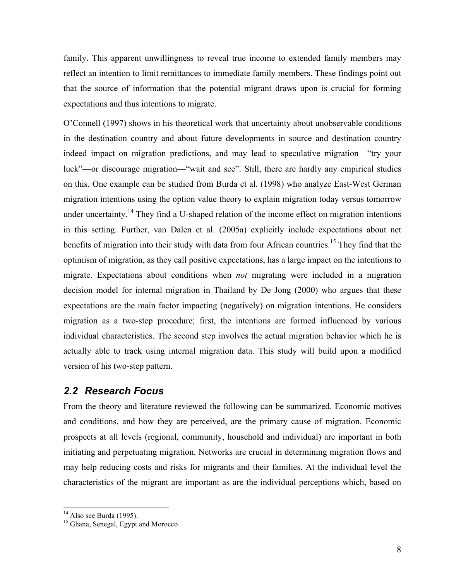family. This apparent unwillingness to reveal true income to extended family members may reflect an intention to limit remittances to immediate family members. These findings point out that the source of information that the potential migrant draws upon is crucial for forming expectations and thus intentions to migrate.

O'Connell (1997) shows in his theoretical work that uncertainty about unobservable conditions in the destination country and about future developments in source and destination country indeed impact on migration predictions, and may lead to speculative migration—"try your luck"—or discourage migration—"wait and see". Still, there are hardly any empirical studies on this. One example can be studied from Burda et al. (1998) who analyze East-West German migration intentions using the option value theory to explain migration today versus tomorrow under uncertainty.<sup>14</sup> They find a U-shaped relation of the income effect on migration intentions in this setting. Further, van Dalen et al. (2005a) explicitly include expectations about net benefits of migration into their study with data from four African countries.<sup>15</sup> They find that the optimism of migration, as they call positive expectations, has a large impact on the intentions to migrate. Expectations about conditions when *not* migrating were included in a migration decision model for internal migration in Thailand by De Jong (2000) who argues that these expectations are the main factor impacting (negatively) on migration intentions. He considers migration as a two-step procedure; first, the intentions are formed influenced by various individual characteristics. The second step involves the actual migration behavior which he is actually able to track using internal migration data. This study will build upon a modified version of his two-step pattern.

## *2.2 Research Focus*

From the theory and literature reviewed the following can be summarized. Economic motives and conditions, and how they are perceived, are the primary cause of migration. Economic prospects at all levels (regional, community, household and individual) are important in both initiating and perpetuating migration. Networks are crucial in determining migration flows and may help reducing costs and risks for migrants and their families. At the individual level the characteristics of the migrant are important as are the individual perceptions which, based on

<sup>&</sup>lt;sup>14</sup> Also see Burda (1995).<br><sup>15</sup> Ghana, Senegal, Egypt and Morocco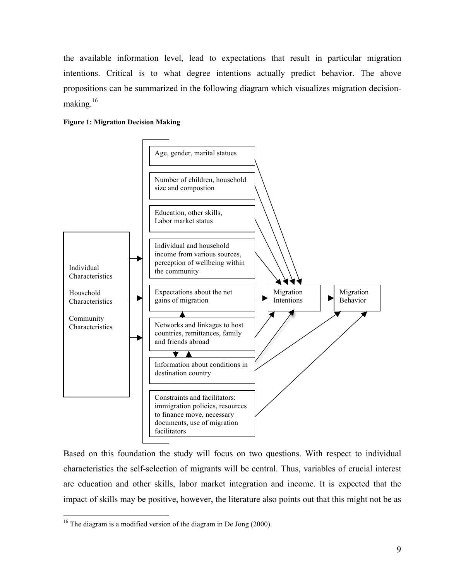the available information level, lead to expectations that result in particular migration intentions. Critical is to what degree intentions actually predict behavior. The above propositions can be summarized in the following diagram which visualizes migration decisionmaking.16





Based on this foundation the study will focus on two questions. With respect to individual characteristics the self-selection of migrants will be central. Thus, variables of crucial interest are education and other skills, labor market integration and income. It is expected that the impact of skills may be positive, however, the literature also points out that this might not be as

<sup>&</sup>lt;sup>16</sup> The diagram is a modified version of the diagram in De Jong (2000).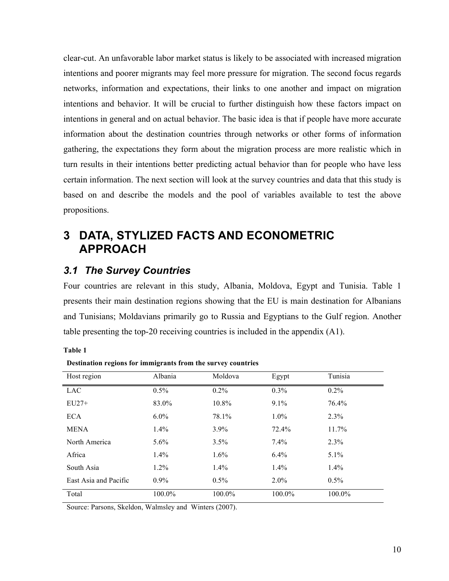clear-cut. An unfavorable labor market status is likely to be associated with increased migration intentions and poorer migrants may feel more pressure for migration. The second focus regards networks, information and expectations, their links to one another and impact on migration intentions and behavior. It will be crucial to further distinguish how these factors impact on intentions in general and on actual behavior. The basic idea is that if people have more accurate information about the destination countries through networks or other forms of information gathering, the expectations they form about the migration process are more realistic which in turn results in their intentions better predicting actual behavior than for people who have less certain information. The next section will look at the survey countries and data that this study is based on and describe the models and the pool of variables available to test the above propositions.

# **3 DATA, STYLIZED FACTS AND ECONOMETRIC APPROACH**

## *3.1 The Survey Countries*

Four countries are relevant in this study, Albania, Moldova, Egypt and Tunisia. Table 1 presents their main destination regions showing that the EU is main destination for Albanians and Tunisians; Moldavians primarily go to Russia and Egyptians to the Gulf region. Another table presenting the top-20 receiving countries is included in the appendix (A1).

#### **Table 1**

| o                     | o       | $\cdot$ |         |          |
|-----------------------|---------|---------|---------|----------|
| Host region           | Albania | Moldova | Egypt   | Tunisia  |
| LAC                   | $0.5\%$ | $0.2\%$ | $0.3\%$ | $0.2\%$  |
| $EU27+$               | 83.0%   | 10.8%   | $9.1\%$ | 76.4%    |
| <b>ECA</b>            | $6.0\%$ | 78.1%   | $1.0\%$ | 2.3%     |
| <b>MENA</b>           | $1.4\%$ | $3.9\%$ | 72.4%   | $11.7\%$ |
| North America         | $5.6\%$ | $3.5\%$ | $7.4\%$ | 2.3%     |
| Africa                | $1.4\%$ | $1.6\%$ | $6.4\%$ | $5.1\%$  |
| South Asia            | $1.2\%$ | $1.4\%$ | $1.4\%$ | $1.4\%$  |
| East Asia and Pacific | $0.9\%$ | $0.5\%$ | $2.0\%$ | $0.5\%$  |
| Total                 | 100.0%  | 100.0%  | 100.0%  | 100.0%   |

**Destination regions for immigrants from the survey countries** 

Source: Parsons, Skeldon, Walmsley and Winters (2007).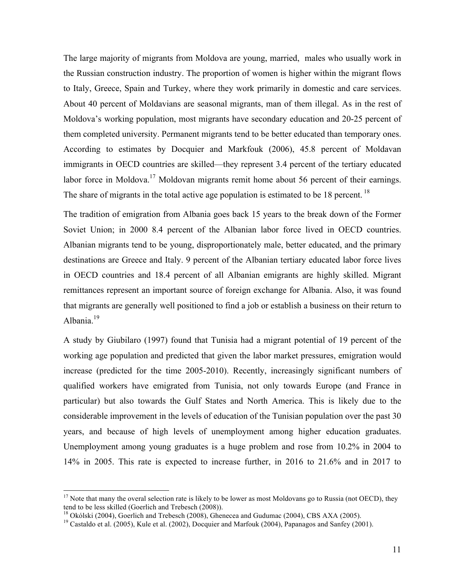The large majority of migrants from Moldova are young, married, males who usually work in the Russian construction industry. The proportion of women is higher within the migrant flows to Italy, Greece, Spain and Turkey, where they work primarily in domestic and care services. About 40 percent of Moldavians are seasonal migrants, man of them illegal. As in the rest of Moldova's working population, most migrants have secondary education and 20-25 percent of them completed university. Permanent migrants tend to be better educated than temporary ones. According to estimates by Docquier and Markfouk (2006), 45.8 percent of Moldavan immigrants in OECD countries are skilled—they represent 3.4 percent of the tertiary educated labor force in Moldova.<sup>17</sup> Moldovan migrants remit home about 56 percent of their earnings. The share of migrants in the total active age population is estimated to be 18 percent.<sup>18</sup>

The tradition of emigration from Albania goes back 15 years to the break down of the Former Soviet Union; in 2000 8.4 percent of the Albanian labor force lived in OECD countries. Albanian migrants tend to be young, disproportionately male, better educated, and the primary destinations are Greece and Italy. 9 percent of the Albanian tertiary educated labor force lives in OECD countries and 18.4 percent of all Albanian emigrants are highly skilled. Migrant remittances represent an important source of foreign exchange for Albania. Also, it was found that migrants are generally well positioned to find a job or establish a business on their return to Albania.<sup>19</sup>

A study by Giubilaro (1997) found that Tunisia had a migrant potential of 19 percent of the working age population and predicted that given the labor market pressures, emigration would increase (predicted for the time 2005-2010). Recently, increasingly significant numbers of qualified workers have emigrated from Tunisia, not only towards Europe (and France in particular) but also towards the Gulf States and North America. This is likely due to the considerable improvement in the levels of education of the Tunisian population over the past 30 years, and because of high levels of unemployment among higher education graduates. Unemployment among young graduates is a huge problem and rose from 10.2% in 2004 to 14% in 2005. This rate is expected to increase further, in 2016 to 21.6% and in 2017 to

 $17$  Note that many the overal selection rate is likely to be lower as most Moldovans go to Russia (not OECD), they tend to be less skilled (Goerlich and Trebesch (2008)).

<sup>&</sup>lt;sup>18</sup> Okólski (2004), Goerlich and Trebesch (2008), Ghenecea and Gudumac (2004), CBS AXA (2005).

<sup>&</sup>lt;sup>19</sup> Castaldo et al. (2005), Kule et al. (2002), Docquier and Marfouk (2004), Papanagos and Sanfey (2001).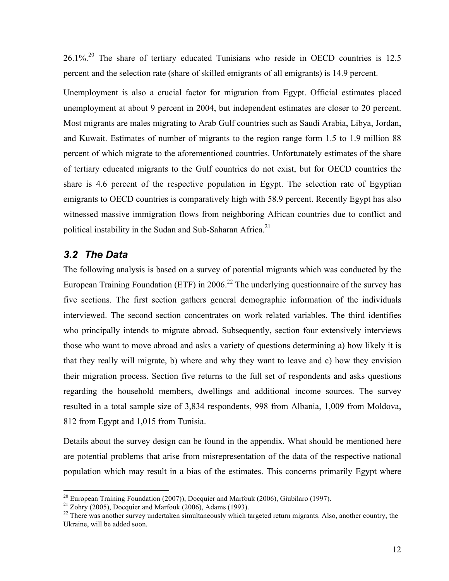26.1%<sup>20</sup> The share of tertiary educated Tunisians who reside in OECD countries is 12.5 percent and the selection rate (share of skilled emigrants of all emigrants) is 14.9 percent.

Unemployment is also a crucial factor for migration from Egypt. Official estimates placed unemployment at about 9 percent in 2004, but independent estimates are closer to 20 percent. Most migrants are males migrating to Arab Gulf countries such as Saudi Arabia, Libya, Jordan, and Kuwait. Estimates of number of migrants to the region range form 1.5 to 1.9 million 88 percent of which migrate to the aforementioned countries. Unfortunately estimates of the share of tertiary educated migrants to the Gulf countries do not exist, but for OECD countries the share is 4.6 percent of the respective population in Egypt. The selection rate of Egyptian emigrants to OECD countries is comparatively high with 58.9 percent. Recently Egypt has also witnessed massive immigration flows from neighboring African countries due to conflict and political instability in the Sudan and Sub-Saharan Africa.<sup>21</sup>

## *3.2 The Data*

The following analysis is based on a survey of potential migrants which was conducted by the European Training Foundation (ETF) in 2006.<sup>22</sup> The underlying questionnaire of the survey has five sections. The first section gathers general demographic information of the individuals interviewed. The second section concentrates on work related variables. The third identifies who principally intends to migrate abroad. Subsequently, section four extensively interviews those who want to move abroad and asks a variety of questions determining a) how likely it is that they really will migrate, b) where and why they want to leave and c) how they envision their migration process. Section five returns to the full set of respondents and asks questions regarding the household members, dwellings and additional income sources. The survey resulted in a total sample size of 3,834 respondents, 998 from Albania, 1,009 from Moldova, 812 from Egypt and 1,015 from Tunisia.

Details about the survey design can be found in the appendix. What should be mentioned here are potential problems that arise from misrepresentation of the data of the respective national population which may result in a bias of the estimates. This concerns primarily Egypt where

<sup>&</sup>lt;sup>20</sup> European Training Foundation (2007)), Docquier and Marfouk (2006), Giubilaro (1997).<br><sup>21</sup> Zohry (2005), Docquier and Marfouk (2006), Adams (1993).<br><sup>22</sup> There was another survey undertaken simultaneously which targete Ukraine, will be added soon.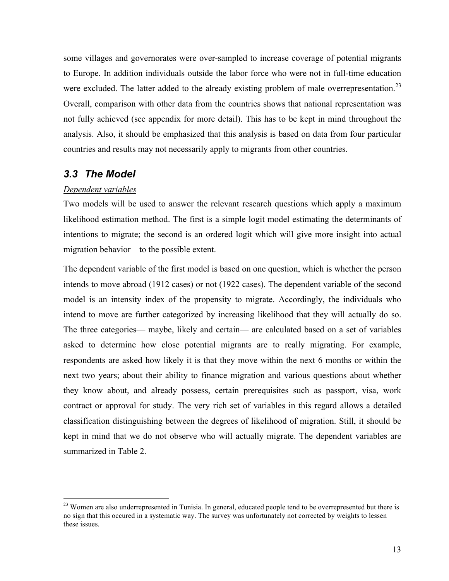some villages and governorates were over-sampled to increase coverage of potential migrants to Europe. In addition individuals outside the labor force who were not in full-time education were excluded. The latter added to the already existing problem of male overrepresentation.<sup>23</sup> Overall, comparison with other data from the countries shows that national representation was not fully achieved (see appendix for more detail). This has to be kept in mind throughout the analysis. Also, it should be emphasized that this analysis is based on data from four particular countries and results may not necessarily apply to migrants from other countries.

## *3.3 The Model*

#### *Dependent variables*

Two models will be used to answer the relevant research questions which apply a maximum likelihood estimation method. The first is a simple logit model estimating the determinants of intentions to migrate; the second is an ordered logit which will give more insight into actual migration behavior—to the possible extent.

The dependent variable of the first model is based on one question, which is whether the person intends to move abroad (1912 cases) or not (1922 cases). The dependent variable of the second model is an intensity index of the propensity to migrate. Accordingly, the individuals who intend to move are further categorized by increasing likelihood that they will actually do so. The three categories— maybe, likely and certain— are calculated based on a set of variables asked to determine how close potential migrants are to really migrating. For example, respondents are asked how likely it is that they move within the next 6 months or within the next two years; about their ability to finance migration and various questions about whether they know about, and already possess, certain prerequisites such as passport, visa, work contract or approval for study. The very rich set of variables in this regard allows a detailed classification distinguishing between the degrees of likelihood of migration. Still, it should be kept in mind that we do not observe who will actually migrate. The dependent variables are summarized in Table 2.

<sup>&</sup>lt;sup>23</sup> Women are also underrepresented in Tunisia. In general, educated people tend to be overrepresented but there is no sign that this occured in a systematic way. The survey was unfortunately not corrected by weights to lessen these issues.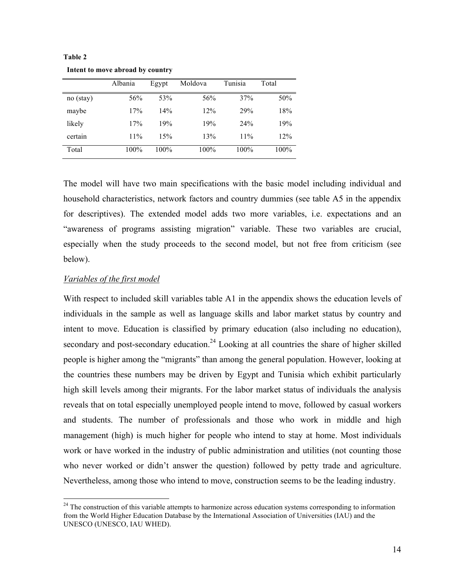|           | Albania | Egypt | Moldova | Tunisia | Total |
|-----------|---------|-------|---------|---------|-------|
| no (stay) | 56%     | 53%   | 56%     | 37%     | 50%   |
| maybe     | 17%     | 14%   | 12%     | 29%     | 18%   |
| likely    | 17%     | 19%   | 19%     | 24%     | 19%   |
| certain   | 11%     | 15%   | 13%     | 11%     | 12%   |
| Total     | 100%    | 100%  | 100%    | 100%    | 100%  |

**Table 2 Intent to move abroad by country**

The model will have two main specifications with the basic model including individual and household characteristics, network factors and country dummies (see table A5 in the appendix for descriptives). The extended model adds two more variables, i.e. expectations and an "awareness of programs assisting migration" variable. These two variables are crucial, especially when the study proceeds to the second model, but not free from criticism (see below).

#### *Variables of the first model*

With respect to included skill variables table A1 in the appendix shows the education levels of individuals in the sample as well as language skills and labor market status by country and intent to move. Education is classified by primary education (also including no education), secondary and post-secondary education.<sup>24</sup> Looking at all countries the share of higher skilled people is higher among the "migrants" than among the general population. However, looking at the countries these numbers may be driven by Egypt and Tunisia which exhibit particularly high skill levels among their migrants. For the labor market status of individuals the analysis reveals that on total especially unemployed people intend to move, followed by casual workers and students. The number of professionals and those who work in middle and high management (high) is much higher for people who intend to stay at home. Most individuals work or have worked in the industry of public administration and utilities (not counting those who never worked or didn't answer the question) followed by petty trade and agriculture. Nevertheless, among those who intend to move, construction seems to be the leading industry.

<sup>&</sup>lt;sup>24</sup> The construction of this variable attempts to harmonize across education systems corresponding to information from the World Higher Education Database by the International Association of Universities (IAU) and the UNESCO (UNESCO, IAU WHED).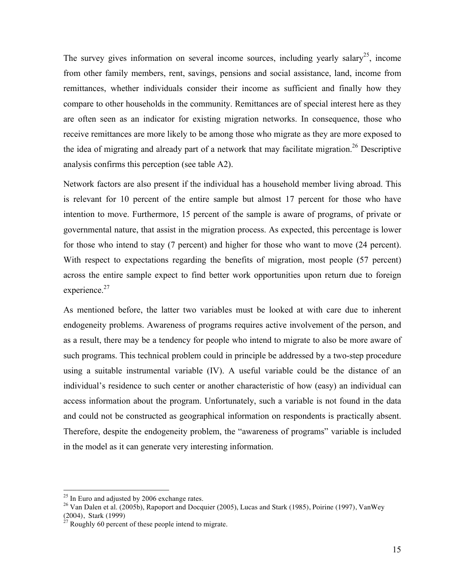The survey gives information on several income sources, including yearly salary<sup>25</sup>, income from other family members, rent, savings, pensions and social assistance, land, income from remittances, whether individuals consider their income as sufficient and finally how they compare to other households in the community. Remittances are of special interest here as they are often seen as an indicator for existing migration networks. In consequence, those who receive remittances are more likely to be among those who migrate as they are more exposed to the idea of migrating and already part of a network that may facilitate migration.<sup>26</sup> Descriptive analysis confirms this perception (see table A2).

Network factors are also present if the individual has a household member living abroad. This is relevant for 10 percent of the entire sample but almost 17 percent for those who have intention to move. Furthermore, 15 percent of the sample is aware of programs, of private or governmental nature, that assist in the migration process. As expected, this percentage is lower for those who intend to stay (7 percent) and higher for those who want to move (24 percent). With respect to expectations regarding the benefits of migration, most people (57 percent) across the entire sample expect to find better work opportunities upon return due to foreign experience. $27$ 

As mentioned before, the latter two variables must be looked at with care due to inherent endogeneity problems. Awareness of programs requires active involvement of the person, and as a result, there may be a tendency for people who intend to migrate to also be more aware of such programs. This technical problem could in principle be addressed by a two-step procedure using a suitable instrumental variable (IV). A useful variable could be the distance of an individual's residence to such center or another characteristic of how (easy) an individual can access information about the program. Unfortunately, such a variable is not found in the data and could not be constructed as geographical information on respondents is practically absent. Therefore, despite the endogeneity problem, the "awareness of programs" variable is included in the model as it can generate very interesting information.

<sup>&</sup>lt;sup>25</sup> In Euro and adjusted by 2006 exchange rates.

<sup>&</sup>lt;sup>26</sup> Van Dalen et al. (2005b), Rapoport and Docquier (2005), Lucas and Stark (1985), Poirine (1997), VanWey (2004), Stark (1999)

 $^{27}$  Roughly 60 percent of these people intend to migrate.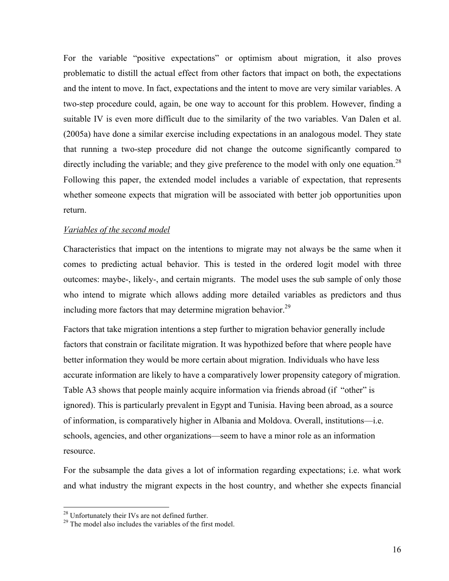For the variable "positive expectations" or optimism about migration, it also proves problematic to distill the actual effect from other factors that impact on both, the expectations and the intent to move. In fact, expectations and the intent to move are very similar variables. A two-step procedure could, again, be one way to account for this problem. However, finding a suitable IV is even more difficult due to the similarity of the two variables. Van Dalen et al. (2005a) have done a similar exercise including expectations in an analogous model. They state that running a two-step procedure did not change the outcome significantly compared to directly including the variable; and they give preference to the model with only one equation.<sup>28</sup> Following this paper, the extended model includes a variable of expectation, that represents whether someone expects that migration will be associated with better job opportunities upon return.

#### *Variables of the second model*

Characteristics that impact on the intentions to migrate may not always be the same when it comes to predicting actual behavior. This is tested in the ordered logit model with three outcomes: maybe-, likely-, and certain migrants. The model uses the sub sample of only those who intend to migrate which allows adding more detailed variables as predictors and thus including more factors that may determine migration behavior.<sup>29</sup>

Factors that take migration intentions a step further to migration behavior generally include factors that constrain or facilitate migration. It was hypothized before that where people have better information they would be more certain about migration. Individuals who have less accurate information are likely to have a comparatively lower propensity category of migration. Table A3 shows that people mainly acquire information via friends abroad (if "other" is ignored). This is particularly prevalent in Egypt and Tunisia. Having been abroad, as a source of information, is comparatively higher in Albania and Moldova. Overall, institutions—i.e. schools, agencies, and other organizations—seem to have a minor role as an information resource.

For the subsample the data gives a lot of information regarding expectations; i.e. what work and what industry the migrant expects in the host country, and whether she expects financial

<sup>&</sup>lt;sup>28</sup> Unfortunately their IVs are not defined further.<br><sup>29</sup> The model also includes the variables of the first model.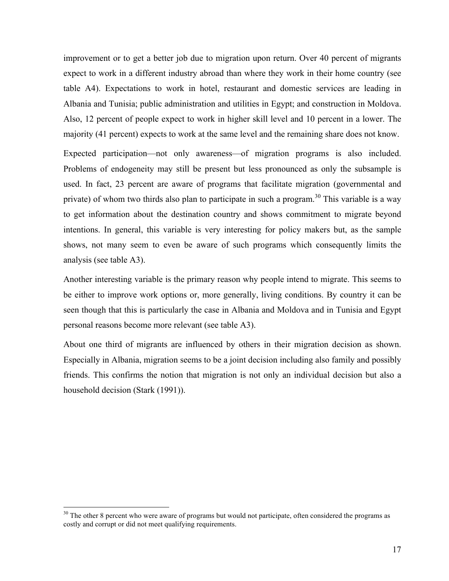improvement or to get a better job due to migration upon return. Over 40 percent of migrants expect to work in a different industry abroad than where they work in their home country (see table A4). Expectations to work in hotel, restaurant and domestic services are leading in Albania and Tunisia; public administration and utilities in Egypt; and construction in Moldova. Also, 12 percent of people expect to work in higher skill level and 10 percent in a lower. The majority (41 percent) expects to work at the same level and the remaining share does not know.

Expected participation—not only awareness—of migration programs is also included. Problems of endogeneity may still be present but less pronounced as only the subsample is used. In fact, 23 percent are aware of programs that facilitate migration (governmental and private) of whom two thirds also plan to participate in such a program.<sup>30</sup> This variable is a way to get information about the destination country and shows commitment to migrate beyond intentions. In general, this variable is very interesting for policy makers but, as the sample shows, not many seem to even be aware of such programs which consequently limits the analysis (see table A3).

Another interesting variable is the primary reason why people intend to migrate. This seems to be either to improve work options or, more generally, living conditions. By country it can be seen though that this is particularly the case in Albania and Moldova and in Tunisia and Egypt personal reasons become more relevant (see table A3).

About one third of migrants are influenced by others in their migration decision as shown. Especially in Albania, migration seems to be a joint decision including also family and possibly friends. This confirms the notion that migration is not only an individual decision but also a household decision (Stark (1991)).

<sup>&</sup>lt;sup>30</sup> The other 8 percent who were aware of programs but would not participate, often considered the programs as costly and corrupt or did not meet qualifying requirements.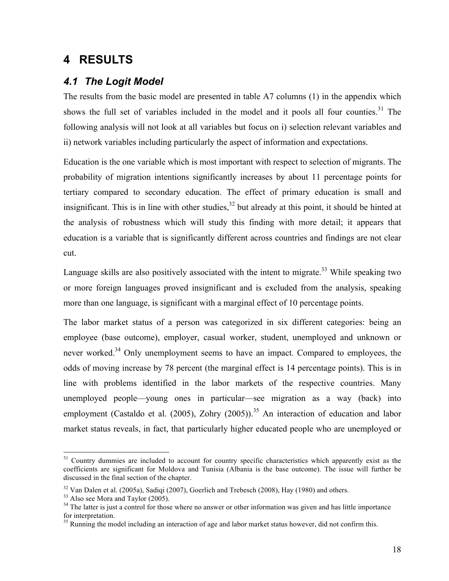## **4 RESULTS**

## *4.1 The Logit Model*

The results from the basic model are presented in table A7 columns (1) in the appendix which shows the full set of variables included in the model and it pools all four counties.<sup>31</sup> The following analysis will not look at all variables but focus on i) selection relevant variables and ii) network variables including particularly the aspect of information and expectations.

Education is the one variable which is most important with respect to selection of migrants. The probability of migration intentions significantly increases by about 11 percentage points for tertiary compared to secondary education. The effect of primary education is small and insignificant. This is in line with other studies,  $32$  but already at this point, it should be hinted at the analysis of robustness which will study this finding with more detail; it appears that education is a variable that is significantly different across countries and findings are not clear cut.

Language skills are also positively associated with the intent to migrate.<sup>33</sup> While speaking two or more foreign languages proved insignificant and is excluded from the analysis, speaking more than one language, is significant with a marginal effect of 10 percentage points.

The labor market status of a person was categorized in six different categories: being an employee (base outcome), employer, casual worker, student, unemployed and unknown or never worked.<sup>34</sup> Only unemployment seems to have an impact. Compared to employees, the odds of moving increase by 78 percent (the marginal effect is 14 percentage points). This is in line with problems identified in the labor markets of the respective countries. Many unemployed people—young ones in particular—see migration as a way (back) into employment (Castaldo et al. (2005), Zohry (2005)).<sup>35</sup> An interaction of education and labor market status reveals, in fact, that particularly higher educated people who are unemployed or

<sup>&</sup>lt;sup>31</sup> Country dummies are included to account for country specific characteristics which apparently exist as the coefficients are significant for Moldova and Tunisia (Albania is the base outcome). The issue will further be discussed in the final section of the chapter.

<sup>&</sup>lt;sup>32</sup> Van Dalen et al. (2005a), Sadiqi (2007), Goerlich and Trebesch (2008), Hay (1980) and others.

<sup>&</sup>lt;sup>33</sup> Also see Mora and Taylor (2005).

<sup>&</sup>lt;sup>34</sup> The latter is just a control for those where no answer or other information was given and has little importance for interpretation.

<sup>&</sup>lt;sup>35</sup> Running the model including an interaction of age and labor market status however, did not confirm this.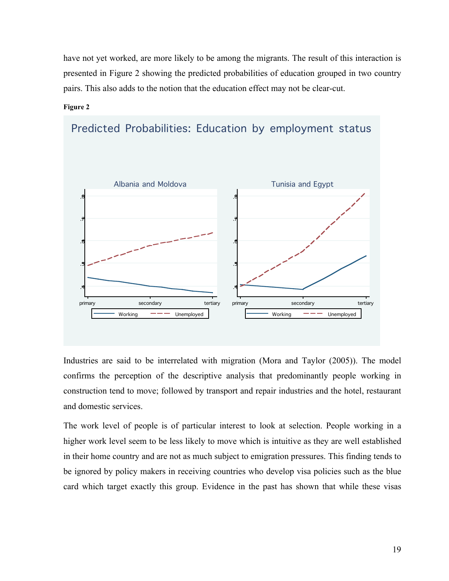have not yet worked, are more likely to be among the migrants. The result of this interaction is presented in Figure 2 showing the predicted probabilities of education grouped in two country pairs. This also adds to the notion that the education effect may not be clear-cut.

#### **Figure 2**



Predicted Probabilities: Education by employment status

Industries are said to be interrelated with migration (Mora and Taylor (2005)). The model confirms the perception of the descriptive analysis that predominantly people working in construction tend to move; followed by transport and repair industries and the hotel, restaurant and domestic services.

The work level of people is of particular interest to look at selection. People working in a higher work level seem to be less likely to move which is intuitive as they are well established in their home country and are not as much subject to emigration pressures. This finding tends to be ignored by policy makers in receiving countries who develop visa policies such as the blue card which target exactly this group. Evidence in the past has shown that while these visas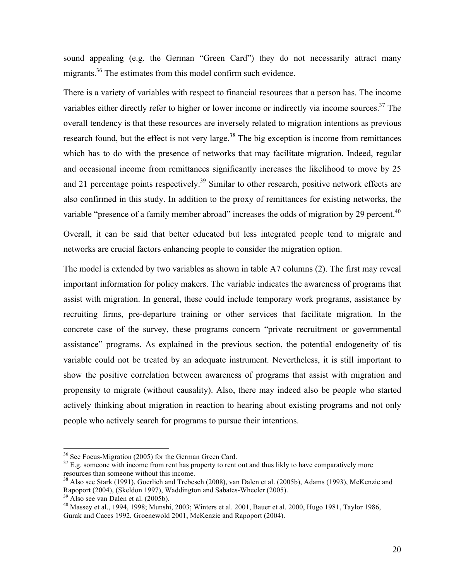sound appealing (e.g. the German "Green Card") they do not necessarily attract many migrants.<sup>36</sup> The estimates from this model confirm such evidence.

There is a variety of variables with respect to financial resources that a person has. The income variables either directly refer to higher or lower income or indirectly via income sources.<sup>37</sup> The overall tendency is that these resources are inversely related to migration intentions as previous research found, but the effect is not very large.<sup>38</sup> The big exception is income from remittances which has to do with the presence of networks that may facilitate migration. Indeed, regular and occasional income from remittances significantly increases the likelihood to move by 25 and 21 percentage points respectively.<sup>39</sup> Similar to other research, positive network effects are also confirmed in this study. In addition to the proxy of remittances for existing networks, the variable "presence of a family member abroad" increases the odds of migration by 29 percent.<sup>40</sup>

Overall, it can be said that better educated but less integrated people tend to migrate and networks are crucial factors enhancing people to consider the migration option.

The model is extended by two variables as shown in table A7 columns (2). The first may reveal important information for policy makers. The variable indicates the awareness of programs that assist with migration. In general, these could include temporary work programs, assistance by recruiting firms, pre-departure training or other services that facilitate migration. In the concrete case of the survey, these programs concern "private recruitment or governmental assistance" programs. As explained in the previous section, the potential endogeneity of tis variable could not be treated by an adequate instrument. Nevertheless, it is still important to show the positive correlation between awareness of programs that assist with migration and propensity to migrate (without causality). Also, there may indeed also be people who started actively thinking about migration in reaction to hearing about existing programs and not only people who actively search for programs to pursue their intentions.

<sup>&</sup>lt;sup>36</sup> See Focus-Migration (2005) for the German Green Card.<br><sup>37</sup> E.g. someone with income from rent has property to rent out and thus likly to have comparatively more resources than someone without this income.

<sup>&</sup>lt;sup>38</sup> Also see Stark (1991), Goerlich and Trebesch (2008), van Dalen et al. (2005b), Adams (1993), McKenzie and Rapoport (2004), (Skeldon 1997), Waddington and Sabates-Wheeler (2005). 39 Also see van Dalen et al. (2005b).

 $^{40}$  Massey et al., 1994, 1998; Munshi, 2003; Winters et al. 2001, Bauer et al. 2000, Hugo 1981, Taylor 1986, Gurak and Caces 1992, Groenewold 2001, McKenzie and Rapoport (2004).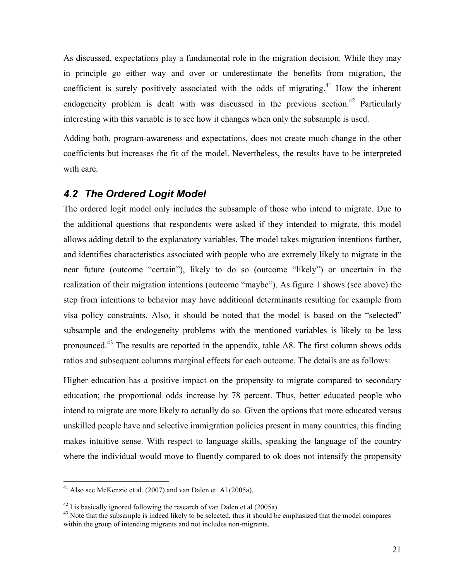As discussed, expectations play a fundamental role in the migration decision. While they may in principle go either way and over or underestimate the benefits from migration, the coefficient is surely positively associated with the odds of migrating.<sup>41</sup> How the inherent endogeneity problem is dealt with was discussed in the previous section.<sup>42</sup> Particularly interesting with this variable is to see how it changes when only the subsample is used.

Adding both, program-awareness and expectations, does not create much change in the other coefficients but increases the fit of the model. Nevertheless, the results have to be interpreted with care.

## *4.2 The Ordered Logit Model*

The ordered logit model only includes the subsample of those who intend to migrate. Due to the additional questions that respondents were asked if they intended to migrate, this model allows adding detail to the explanatory variables. The model takes migration intentions further, and identifies characteristics associated with people who are extremely likely to migrate in the near future (outcome "certain"), likely to do so (outcome "likely") or uncertain in the realization of their migration intentions (outcome "maybe"). As figure 1 shows (see above) the step from intentions to behavior may have additional determinants resulting for example from visa policy constraints. Also, it should be noted that the model is based on the "selected" subsample and the endogeneity problems with the mentioned variables is likely to be less pronounced.43 The results are reported in the appendix, table A8. The first column shows odds ratios and subsequent columns marginal effects for each outcome. The details are as follows:

Higher education has a positive impact on the propensity to migrate compared to secondary education; the proportional odds increase by 78 percent. Thus, better educated people who intend to migrate are more likely to actually do so. Given the options that more educated versus unskilled people have and selective immigration policies present in many countries, this finding makes intuitive sense. With respect to language skills, speaking the language of the country where the individual would move to fluently compared to ok does not intensify the propensity

 <sup>41</sup> Also see McKenzie et al. (2007) and van Dalen et. Al (2005a).

 $^{42}$  I is basically ignored following the research of van Dalen et al (2005a).<br> $^{43}$  Note that the subsample is indeed likely to be selected, thus it should be emphasized that the model compares within the group of intending migrants and not includes non-migrants.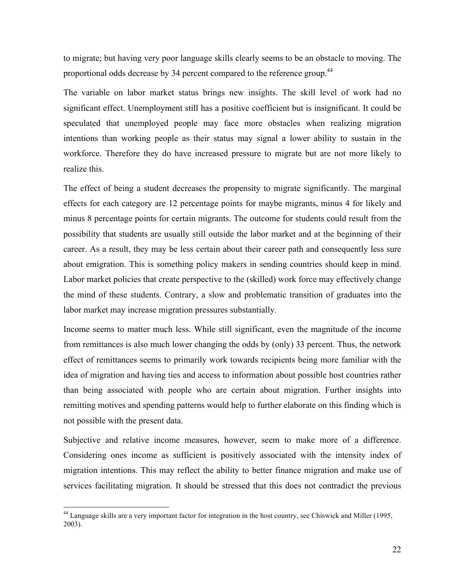to migrate; but having very poor language skills clearly seems to be an obstacle to moving. The proportional odds decrease by 34 percent compared to the reference group.<sup>44</sup>

The variable on labor market status brings new insights. The skill level of work had no significant effect. Unemployment still has a positive coefficient but is insignificant. It could be speculated that unemployed people may face more obstacles when realizing migration intentions than working people as their status may signal a lower ability to sustain in the workforce. Therefore they do have increased pressure to migrate but are not more likely to realize this.

The effect of being a student decreases the propensity to migrate significantly. The marginal effects for each category are 12 percentage points for maybe migrants, minus 4 for likely and minus 8 percentage points for certain migrants. The outcome for students could result from the possibility that students are usually still outside the labor market and at the beginning of their career. As a result, they may be less certain about their career path and consequently less sure about emigration. This is something policy makers in sending countries should keep in mind. Labor market policies that create perspective to the (skilled) work force may effectively change the mind of these students. Contrary, a slow and problematic transition of graduates into the labor market may increase migration pressures substantially.

Income seems to matter much less. While still significant, even the magnitude of the income from remittances is also much lower changing the odds by (only) 33 percent. Thus, the network effect of remittances seems to primarily work towards recipients being more familiar with the idea of migration and having ties and access to information about possible host countries rather than being associated with people who are certain about migration. Further insights into remitting motives and spending patterns would help to further elaborate on this finding which is not possible with the present data.

Subjective and relative income measures, however, seem to make more of a difference. Considering ones income as sufficient is positively associated with the intensity index of migration intentions. This may reflect the ability to better finance migration and make use of services facilitating migration. It should be stressed that this does not contradict the previous

 <sup>44</sup> Language skills are a very important factor for integration in the host country, see Chiswick and Miller (1995, 2003).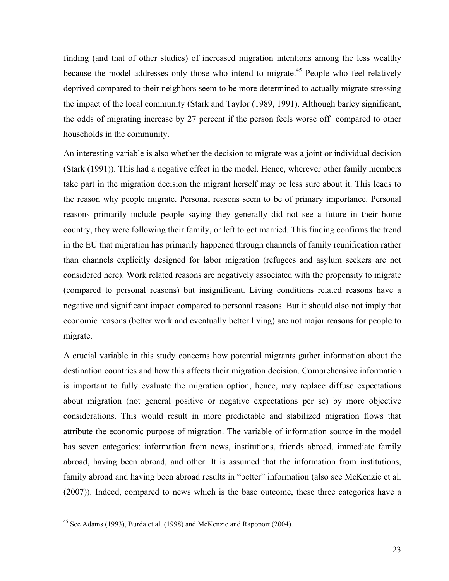finding (and that of other studies) of increased migration intentions among the less wealthy because the model addresses only those who intend to migrate.<sup>45</sup> People who feel relatively deprived compared to their neighbors seem to be more determined to actually migrate stressing the impact of the local community (Stark and Taylor (1989, 1991). Although barley significant, the odds of migrating increase by 27 percent if the person feels worse off compared to other households in the community.

An interesting variable is also whether the decision to migrate was a joint or individual decision (Stark (1991)). This had a negative effect in the model. Hence, wherever other family members take part in the migration decision the migrant herself may be less sure about it. This leads to the reason why people migrate. Personal reasons seem to be of primary importance. Personal reasons primarily include people saying they generally did not see a future in their home country, they were following their family, or left to get married. This finding confirms the trend in the EU that migration has primarily happened through channels of family reunification rather than channels explicitly designed for labor migration (refugees and asylum seekers are not considered here). Work related reasons are negatively associated with the propensity to migrate (compared to personal reasons) but insignificant. Living conditions related reasons have a negative and significant impact compared to personal reasons. But it should also not imply that economic reasons (better work and eventually better living) are not major reasons for people to migrate.

A crucial variable in this study concerns how potential migrants gather information about the destination countries and how this affects their migration decision. Comprehensive information is important to fully evaluate the migration option, hence, may replace diffuse expectations about migration (not general positive or negative expectations per se) by more objective considerations. This would result in more predictable and stabilized migration flows that attribute the economic purpose of migration. The variable of information source in the model has seven categories: information from news, institutions, friends abroad, immediate family abroad, having been abroad, and other. It is assumed that the information from institutions, family abroad and having been abroad results in "better" information (also see McKenzie et al. (2007)). Indeed, compared to news which is the base outcome, these three categories have a

 <sup>45</sup> See Adams (1993), Burda et al. (1998) and McKenzie and Rapoport (2004).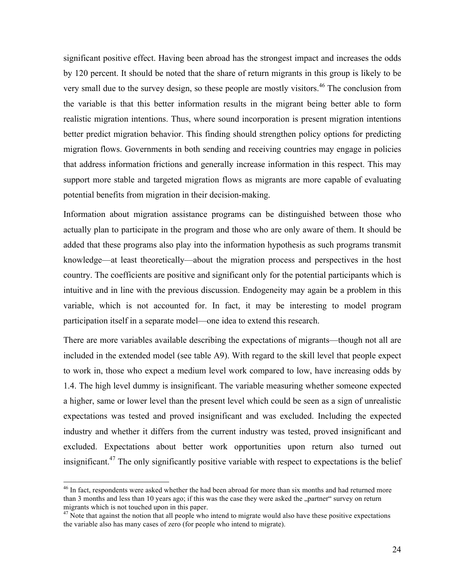significant positive effect. Having been abroad has the strongest impact and increases the odds by 120 percent. It should be noted that the share of return migrants in this group is likely to be very small due to the survey design, so these people are mostly visitors.<sup>46</sup> The conclusion from the variable is that this better information results in the migrant being better able to form realistic migration intentions. Thus, where sound incorporation is present migration intentions better predict migration behavior. This finding should strengthen policy options for predicting migration flows. Governments in both sending and receiving countries may engage in policies that address information frictions and generally increase information in this respect. This may support more stable and targeted migration flows as migrants are more capable of evaluating potential benefits from migration in their decision-making.

Information about migration assistance programs can be distinguished between those who actually plan to participate in the program and those who are only aware of them. It should be added that these programs also play into the information hypothesis as such programs transmit knowledge—at least theoretically—about the migration process and perspectives in the host country. The coefficients are positive and significant only for the potential participants which is intuitive and in line with the previous discussion. Endogeneity may again be a problem in this variable, which is not accounted for. In fact, it may be interesting to model program participation itself in a separate model—one idea to extend this research.

There are more variables available describing the expectations of migrants—though not all are included in the extended model (see table A9). With regard to the skill level that people expect to work in, those who expect a medium level work compared to low, have increasing odds by 1.4. The high level dummy is insignificant. The variable measuring whether someone expected a higher, same or lower level than the present level which could be seen as a sign of unrealistic expectations was tested and proved insignificant and was excluded. Including the expected industry and whether it differs from the current industry was tested, proved insignificant and excluded. Expectations about better work opportunities upon return also turned out insignificant.<sup>47</sup> The only significantly positive variable with respect to expectations is the belief

<sup>&</sup>lt;sup>46</sup> In fact, respondents were asked whether the had been abroad for more than six months and had returned more than 3 months and less than 10 years ago; if this was the case they were asked the "partner" survey on return migrants which is not touched upon in this paper.

<sup>&</sup>lt;sup>47</sup> Note that against the notion that all people who intend to migrate would also have these positive expectations the variable also has many cases of zero (for people who intend to migrate).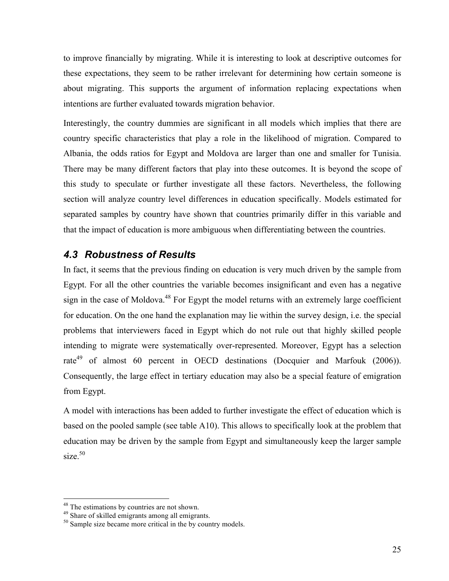to improve financially by migrating. While it is interesting to look at descriptive outcomes for these expectations, they seem to be rather irrelevant for determining how certain someone is about migrating. This supports the argument of information replacing expectations when intentions are further evaluated towards migration behavior.

Interestingly, the country dummies are significant in all models which implies that there are country specific characteristics that play a role in the likelihood of migration. Compared to Albania, the odds ratios for Egypt and Moldova are larger than one and smaller for Tunisia. There may be many different factors that play into these outcomes. It is beyond the scope of this study to speculate or further investigate all these factors. Nevertheless, the following section will analyze country level differences in education specifically. Models estimated for separated samples by country have shown that countries primarily differ in this variable and that the impact of education is more ambiguous when differentiating between the countries.

## *4.3 Robustness of Results*

In fact, it seems that the previous finding on education is very much driven by the sample from Egypt. For all the other countries the variable becomes insignificant and even has a negative sign in the case of Moldova.<sup>48</sup> For Egypt the model returns with an extremely large coefficient for education. On the one hand the explanation may lie within the survey design, i.e. the special problems that interviewers faced in Egypt which do not rule out that highly skilled people intending to migrate were systematically over-represented. Moreover, Egypt has a selection rate<sup>49</sup> of almost 60 percent in OECD destinations (Docquier and Marfouk (2006)). Consequently, the large effect in tertiary education may also be a special feature of emigration from Egypt.

A model with interactions has been added to further investigate the effect of education which is based on the pooled sample (see table A10). This allows to specifically look at the problem that education may be driven by the sample from Egypt and simultaneously keep the larger sample size.<sup>50</sup>

 $48$ <sup>48</sup> The estimations by countries are not shown.<br> $49$  Share of skilled emigrants among all emigrants.

 $50$  Sample size became more critical in the by country models.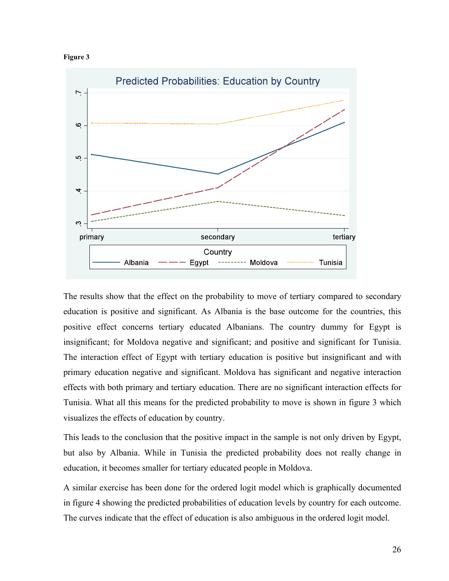



The results show that the effect on the probability to move of tertiary compared to secondary education is positive and significant. As Albania is the base outcome for the countries, this positive effect concerns tertiary educated Albanians. The country dummy for Egypt is insignificant; for Moldova negative and significant; and positive and significant for Tunisia. The interaction effect of Egypt with tertiary education is positive but insignificant and with primary education negative and significant. Moldova has significant and negative interaction effects with both primary and tertiary education. There are no significant interaction effects for Tunisia. What all this means for the predicted probability to move is shown in figure 3 which visualizes the effects of education by country.

This leads to the conclusion that the positive impact in the sample is not only driven by Egypt, but also by Albania. While in Tunisia the predicted probability does not really change in education, it becomes smaller for tertiary educated people in Moldova.

A similar exercise has been done for the ordered logit model which is graphically documented in figure 4 showing the predicted probabilities of education levels by country for each outcome. The curves indicate that the effect of education is also ambiguous in the ordered logit model.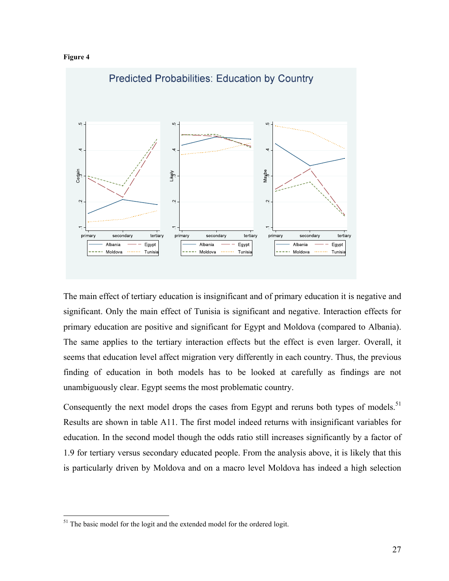



The main effect of tertiary education is insignificant and of primary education it is negative and significant. Only the main effect of Tunisia is significant and negative. Interaction effects for primary education are positive and significant for Egypt and Moldova (compared to Albania). The same applies to the tertiary interaction effects but the effect is even larger. Overall, it seems that education level affect migration very differently in each country. Thus, the previous finding of education in both models has to be looked at carefully as findings are not unambiguously clear. Egypt seems the most problematic country.

Consequently the next model drops the cases from Egypt and reruns both types of models.<sup>51</sup> Results are shown in table A11. The first model indeed returns with insignificant variables for education. In the second model though the odds ratio still increases significantly by a factor of 1.9 for tertiary versus secondary educated people. From the analysis above, it is likely that this is particularly driven by Moldova and on a macro level Moldova has indeed a high selection

<sup>&</sup>lt;sup>51</sup> The basic model for the logit and the extended model for the ordered logit.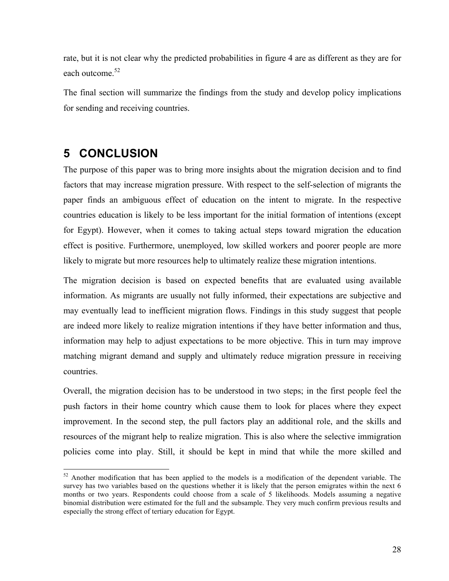rate, but it is not clear why the predicted probabilities in figure 4 are as different as they are for each outcome.<sup>52</sup>

The final section will summarize the findings from the study and develop policy implications for sending and receiving countries.

## **5 CONCLUSION**

The purpose of this paper was to bring more insights about the migration decision and to find factors that may increase migration pressure. With respect to the self-selection of migrants the paper finds an ambiguous effect of education on the intent to migrate. In the respective countries education is likely to be less important for the initial formation of intentions (except for Egypt). However, when it comes to taking actual steps toward migration the education effect is positive. Furthermore, unemployed, low skilled workers and poorer people are more likely to migrate but more resources help to ultimately realize these migration intentions.

The migration decision is based on expected benefits that are evaluated using available information. As migrants are usually not fully informed, their expectations are subjective and may eventually lead to inefficient migration flows. Findings in this study suggest that people are indeed more likely to realize migration intentions if they have better information and thus, information may help to adjust expectations to be more objective. This in turn may improve matching migrant demand and supply and ultimately reduce migration pressure in receiving countries.

Overall, the migration decision has to be understood in two steps; in the first people feel the push factors in their home country which cause them to look for places where they expect improvement. In the second step, the pull factors play an additional role, and the skills and resources of the migrant help to realize migration. This is also where the selective immigration policies come into play. Still, it should be kept in mind that while the more skilled and

<sup>&</sup>lt;sup>52</sup> Another modification that has been applied to the models is a modification of the dependent variable. The survey has two variables based on the questions whether it is likely that the person emigrates within the next 6 months or two years. Respondents could choose from a scale of 5 likelihoods. Models assuming a negative binomial distribution were estimated for the full and the subsample. They very much confirm previous results and especially the strong effect of tertiary education for Egypt.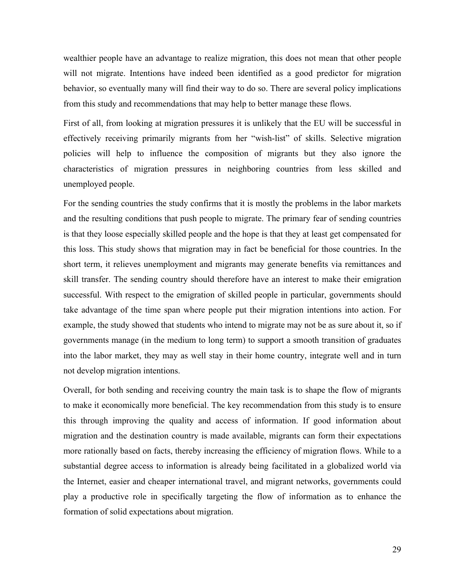wealthier people have an advantage to realize migration, this does not mean that other people will not migrate. Intentions have indeed been identified as a good predictor for migration behavior, so eventually many will find their way to do so. There are several policy implications from this study and recommendations that may help to better manage these flows.

First of all, from looking at migration pressures it is unlikely that the EU will be successful in effectively receiving primarily migrants from her "wish-list" of skills. Selective migration policies will help to influence the composition of migrants but they also ignore the characteristics of migration pressures in neighboring countries from less skilled and unemployed people.

For the sending countries the study confirms that it is mostly the problems in the labor markets and the resulting conditions that push people to migrate. The primary fear of sending countries is that they loose especially skilled people and the hope is that they at least get compensated for this loss. This study shows that migration may in fact be beneficial for those countries. In the short term, it relieves unemployment and migrants may generate benefits via remittances and skill transfer. The sending country should therefore have an interest to make their emigration successful. With respect to the emigration of skilled people in particular, governments should take advantage of the time span where people put their migration intentions into action. For example, the study showed that students who intend to migrate may not be as sure about it, so if governments manage (in the medium to long term) to support a smooth transition of graduates into the labor market, they may as well stay in their home country, integrate well and in turn not develop migration intentions.

Overall, for both sending and receiving country the main task is to shape the flow of migrants to make it economically more beneficial. The key recommendation from this study is to ensure this through improving the quality and access of information. If good information about migration and the destination country is made available, migrants can form their expectations more rationally based on facts, thereby increasing the efficiency of migration flows. While to a substantial degree access to information is already being facilitated in a globalized world via the Internet, easier and cheaper international travel, and migrant networks, governments could play a productive role in specifically targeting the flow of information as to enhance the formation of solid expectations about migration.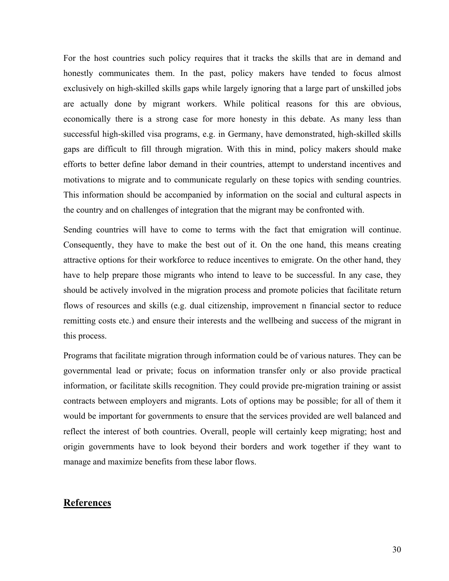For the host countries such policy requires that it tracks the skills that are in demand and honestly communicates them. In the past, policy makers have tended to focus almost exclusively on high-skilled skills gaps while largely ignoring that a large part of unskilled jobs are actually done by migrant workers. While political reasons for this are obvious, economically there is a strong case for more honesty in this debate. As many less than successful high-skilled visa programs, e.g. in Germany, have demonstrated, high-skilled skills gaps are difficult to fill through migration. With this in mind, policy makers should make efforts to better define labor demand in their countries, attempt to understand incentives and motivations to migrate and to communicate regularly on these topics with sending countries. This information should be accompanied by information on the social and cultural aspects in the country and on challenges of integration that the migrant may be confronted with.

Sending countries will have to come to terms with the fact that emigration will continue. Consequently, they have to make the best out of it. On the one hand, this means creating attractive options for their workforce to reduce incentives to emigrate. On the other hand, they have to help prepare those migrants who intend to leave to be successful. In any case, they should be actively involved in the migration process and promote policies that facilitate return flows of resources and skills (e.g. dual citizenship, improvement n financial sector to reduce remitting costs etc.) and ensure their interests and the wellbeing and success of the migrant in this process.

Programs that facilitate migration through information could be of various natures. They can be governmental lead or private; focus on information transfer only or also provide practical information, or facilitate skills recognition. They could provide pre-migration training or assist contracts between employers and migrants. Lots of options may be possible; for all of them it would be important for governments to ensure that the services provided are well balanced and reflect the interest of both countries. Overall, people will certainly keep migrating; host and origin governments have to look beyond their borders and work together if they want to manage and maximize benefits from these labor flows.

#### **References**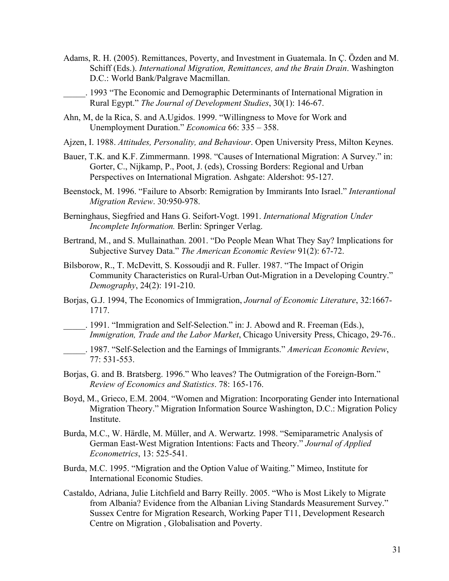- Adams, R. H. (2005). Remittances, Poverty, and Investment in Guatemala. In Ç. Özden and M. Schiff (Eds.). *International Migration, Remittances, and the Brain Drain*. Washington D.C.: World Bank/Palgrave Macmillan.
	- \_\_\_\_\_. 1993 "The Economic and Demographic Determinants of International Migration in Rural Egypt." *The Journal of Development Studies*, 30(1): 146-67.
- Ahn, M, de la Rica, S. and A.Ugidos. 1999. "Willingness to Move for Work and Unemployment Duration." *Economica* 66: 335 – 358.
- Ajzen, I. 1988. *Attitudes, Personality, and Behaviour*. Open University Press, Milton Keynes.
- Bauer, T.K. and K.F. Zimmermann. 1998. "Causes of International Migration: A Survey." in: Gorter, C., Nijkamp, P., Poot, J. (eds), Crossing Borders: Regional and Urban Perspectives on International Migration. Ashgate: Aldershot: 95-127.
- Beenstock, M. 1996. "Failure to Absorb: Remigration by Immirants Into Israel." *Interantional Migration Review*. 30:950-978.
- Berninghaus, Siegfried and Hans G. Seifort-Vogt. 1991. *International Migration Under Incomplete Information.* Berlin: Springer Verlag.
- Bertrand, M., and S. Mullainathan. 2001. "Do People Mean What They Say? Implications for Subjective Survey Data." *The American Economic Review* 91(2): 67-72.
- Bilsborow, R., T. McDevitt, S. Kossoudji and R. Fuller. 1987. "The Impact of Origin Community Characteristics on Rural-Urban Out-Migration in a Developing Country." *Demography*, 24(2): 191-210.
- Borjas, G.J. 1994, The Economics of Immigration, *Journal of Economic Literature*, 32:1667- 1717.
- \_\_\_\_\_. 1991. "Immigration and Self-Selection." in: J. Abowd and R. Freeman (Eds.), *Immigration, Trade and the Labor Market*, Chicago University Press, Chicago, 29-76..
- \_\_\_\_\_. 1987. "Self-Selection and the Earnings of Immigrants." *American Economic Review*, 77: 531-553.
- Borjas, G. and B. Bratsberg. 1996." Who leaves? The Outmigration of the Foreign-Born." *Review of Economics and Statistics*. 78: 165-176.
- Boyd, M., Grieco, E.M. 2004. "Women and Migration: Incorporating Gender into International Migration Theory." Migration Information Source Washington, D.C.: Migration Policy Institute.
- Burda, M.C., W. Härdle, M. Müller, and A. Werwartz. 1998. "Semiparametric Analysis of German East-West Migration Intentions: Facts and Theory." *Journal of Applied Econometrics*, 13: 525-541.
- Burda, M.C. 1995. "Migration and the Option Value of Waiting." Mimeo, Institute for International Economic Studies.
- Castaldo, Adriana, Julie Litchfield and Barry Reilly. 2005. "Who is Most Likely to Migrate from Albania? Evidence from the Albanian Living Standards Measurement Survey." Sussex Centre for Migration Research, Working Paper T11, Development Research Centre on Migration , Globalisation and Poverty.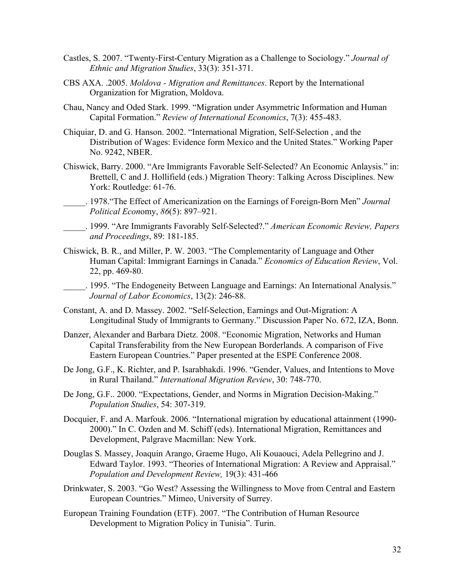- Castles, S. 2007. "Twenty-First-Century Migration as a Challenge to Sociology." *Journal of Ethnic and Migration Studies*, 33(3): 351-371.
- CBS AXA. .2005. *Moldova Migration and Remittances*. Report by the International Organization for Migration, Moldova.
- Chau, Nancy and Oded Stark. 1999. "Migration under Asymmetric Information and Human Capital Formation." *Review of International Economics*, 7(3): 455-483.
- Chiquiar, D. and G. Hanson. 2002. "International Migration, Self-Selection , and the Distribution of Wages: Evidence form Mexico and the United States." Working Paper No. 9242, NBER.
- Chiswick, Barry. 2000. "Are Immigrants Favorable Self-Selected? An Economic Anlaysis." in: Brettell, C and J. Hollifield (eds.) Migration Theory: Talking Across Disciplines. New York: Routledge: 61-76.
- \_\_\_\_\_. 1978."The Effect of Americanization on the Earnings of Foreign-Born Men" *Journal Political Econ*omy, *86*(5): 897–921.
- \_\_\_\_\_. 1999. "Are Immigrants Favorably Self-Selected?." *American Economic Review, Papers and Proceedings*, 89: 181-185.
- Chiswick, B. R., and Miller, P. W. 2003. "The Complementarity of Language and Other Human Capital: Immigrant Earnings in Canada." *Economics of Education Review*, Vol. 22, pp. 469-80.

\_\_\_\_\_. 1995. "The Endogeneity Between Language and Earnings: An International Analysis." *Journal of Labor Economics*, 13(2): 246-88.

- Constant, A. and D. Massey. 2002. "Self-Selection, Earnings and Out-Migration: A Longitudinal Study of Immigrants to Germany." Discussion Paper No. 672, IZA, Bonn.
- Danzer, Alexander and Barbara Dietz. 2008. "Economic Migration, Networks and Human Capital Transferability from the New European Borderlands. A comparison of Five Eastern European Countries." Paper presented at the ESPE Conference 2008.
- De Jong, G.F., K. Richter, and P. Isarabhakdi. 1996. "Gender, Values, and Intentions to Move in Rural Thailand." *International Migration Review*, 30: 748-770.
- De Jong, G.F.. 2000. "Expectations, Gender, and Norms in Migration Decision-Making." *Population Studies*, 54: 307-319.
- Docquier, F. and A. Marfouk. 2006. "International migration by educational attainment (1990- 2000)." In C. Ozden and M. Schiff (eds). International Migration, Remittances and Development, Palgrave Macmillan: New York.
- Douglas S. Massey, Joaquin Arango, Graeme Hugo, Ali Kouaouci, Adela Pellegrino and J. Edward Taylor. 1993. "Theories of International Migration: A Review and Appraisal." *Population and Development Review,* 19(3): 431-466
- Drinkwater, S. 2003. "Go West? Assessing the Willingness to Move from Central and Eastern European Countries." Mimeo, University of Surrey.
- European Training Foundation (ETF). 2007. "The Contribution of Human Resource Development to Migration Policy in Tunisia". Turin.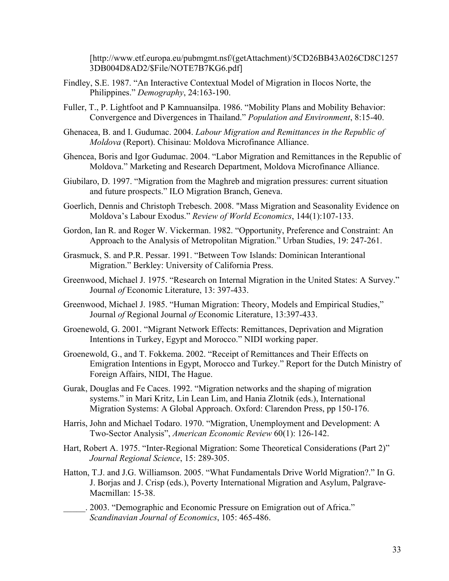[http://www.etf.europa.eu/pubmgmt.nsf/(getAttachment)/5CD26BB43A026CD8C1257 3DB004D8AD2/\$File/NOTE7B7KG6.pdf]

- Findley, S.E. 1987. "An Interactive Contextual Model of Migration in Ilocos Norte, the Philippines." *Demography*, 24:163-190.
- Fuller, T., P. Lightfoot and P Kamnuansilpa. 1986. "Mobility Plans and Mobility Behavior: Convergence and Divergences in Thailand." *Population and Environment*, 8:15-40.
- Ghenacea, B. and I. Gudumac. 2004. *Labour Migration and Remittances in the Republic of Moldova* (Report). Chisinau: Moldova Microfinance Alliance.
- Ghencea, Boris and Igor Gudumac. 2004. "Labor Migration and Remittances in the Republic of Moldova." Marketing and Research Department, Moldova Microfinance Alliance.
- Giubilaro, D. 1997. "Migration from the Maghreb and migration pressures: current situation and future prospects." ILO Migration Branch, Geneva.
- Goerlich, Dennis and Christoph Trebesch. 2008. "Mass Migration and Seasonality Evidence on Moldova's Labour Exodus." *Review of World Economics*, 144(1):107-133.
- Gordon, Ian R. and Roger W. Vickerman. 1982. "Opportunity, Preference and Constraint: An Approach to the Analysis of Metropolitan Migration." Urban Studies, 19: 247-261.
- Grasmuck, S. and P.R. Pessar. 1991. "Between Tow Islands: Dominican Interantional Migration." Berkley: University of California Press.
- Greenwood, Michael J. 1975. "Research on Internal Migration in the United States: A Survey." Journal *of* Economic Literature, 13: 397-433.
- Greenwood, Michael J. 1985. "Human Migration: Theory, Models and Empirical Studies," Journal *of* Regional Journal *of* Economic Literature, 13:397-433.
- Groenewold, G. 2001. "Migrant Network Effects: Remittances, Deprivation and Migration Intentions in Turkey, Egypt and Morocco." NIDI working paper.
- Groenewold, G., and T. Fokkema. 2002. "Receipt of Remittances and Their Effects on Emigration Intentions in Egypt, Morocco and Turkey." Report for the Dutch Ministry of Foreign Affairs, NIDI, The Hague.
- Gurak, Douglas and Fe Caces. 1992. "Migration networks and the shaping of migration systems." in Mari Kritz, Lin Lean Lim, and Hania Zlotnik (eds.), International Migration Systems: A Global Approach. Oxford: Clarendon Press, pp 150-176.
- Harris, John and Michael Todaro. 1970. "Migration, Unemployment and Development: A Two-Sector Analysis", *American Economic Review* 60(1): 126-142.
- Hart, Robert A. 1975. "Inter-Regional Migration: Some Theoretical Considerations (Part 2)" *Journal Regional Science*, 15: 289-305.
- Hatton, T.J. and J.G. Williamson. 2005. "What Fundamentals Drive World Migration?." In G. J. Borjas and J. Crisp (eds.), Poverty International Migration and Asylum, Palgrave-Macmillan: 15-38.

\_\_\_\_\_. 2003. "Demographic and Economic Pressure on Emigration out of Africa." *Scandinavian Journal of Economics*, 105: 465-486.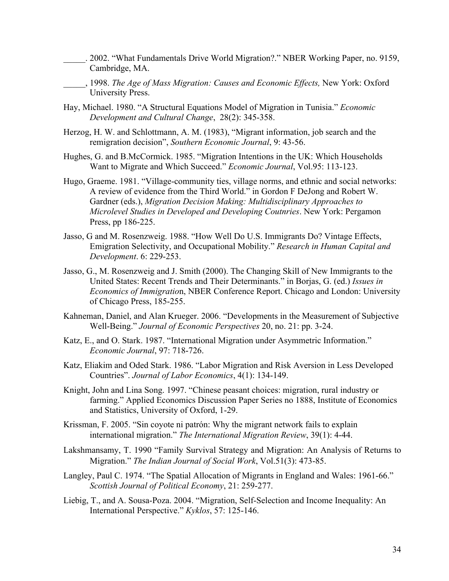- \_\_\_\_\_. 2002. "What Fundamentals Drive World Migration?." NBER Working Paper, no. 9159, Cambridge, MA.
- \_\_\_\_\_, 1998. *The Age of Mass Migration: Causes and Economic Effects,* New York: Oxford University Press.
- Hay, Michael. 1980. "A Structural Equations Model of Migration in Tunisia." *Economic Development and Cultural Change*, 28(2): 345-358.
- Herzog, H. W. and Schlottmann, A. M. (1983), "Migrant information, job search and the remigration decision", *Southern Economic Journal*, 9: 43-56.
- Hughes, G. and B.McCormick. 1985. "Migration Intentions in the UK: Which Households Want to Migrate and Which Succeed." *Economic Journal*, Vol.95: 113-123.
- Hugo, Graeme. 1981. "Village-community ties, village norms, and ethnic and social networks: A review of evidence from the Third World." in Gordon F DeJong and Robert W. Gardner (eds.), *Migration Decision Making: Multidisciplinary Approaches to Microlevel Studies in Developed and Developing Coutnries*. New York: Pergamon Press, pp 186-225.
- Jasso, G and M. Rosenzweig. 1988. "How Well Do U.S. Immigrants Do? Vintage Effects, Emigration Selectivity, and Occupational Mobility." *Research in Human Capital and Development*. 6: 229-253.
- Jasso, G., M. Rosenzweig and J. Smith (2000). The Changing Skill of New Immigrants to the United States: Recent Trends and Their Determinants." in Borjas, G. (ed.) *Issues in Economics of Immigratio*n, NBER Conference Report. Chicago and London: University of Chicago Press, 185-255.
- Kahneman, Daniel, and Alan Krueger. 2006. "Developments in the Measurement of Subjective Well-Being." *Journal of Economic Perspectives* 20, no. 21: pp. 3-24.
- Katz, E., and O. Stark. 1987. "International Migration under Asymmetric Information." *Economic Journal*, 97: 718-726.
- Katz, Eliakim and Oded Stark. 1986. "Labor Migration and Risk Aversion in Less Developed Countries". *Journal of Labor Economics*, 4(1): 134-149.
- Knight, John and Lina Song. 1997. "Chinese peasant choices: migration, rural industry or farming." Applied Economics Discussion Paper Series no 1888, Institute of Economics and Statistics, University of Oxford, 1-29.
- Krissman, F. 2005. "Sin coyote ni patrón: Why the migrant network fails to explain international migration." *The International Migration Review*, 39(1): 4-44.
- Lakshmansamy, T. 1990 "Family Survival Strategy and Migration: An Analysis of Returns to Migration." *The Indian Journal of Social Work*, Vol.51(3): 473-85.
- Langley, Paul C. 1974. "The Spatial Allocation of Migrants in England and Wales: 1961-66." *Scottish Journal of Political Economy*, 21: 259-277.
- Liebig, T., and A. Sousa-Poza. 2004. "Migration, Self-Selection and Income Inequality: An International Perspective." *Kyklos*, 57: 125-146.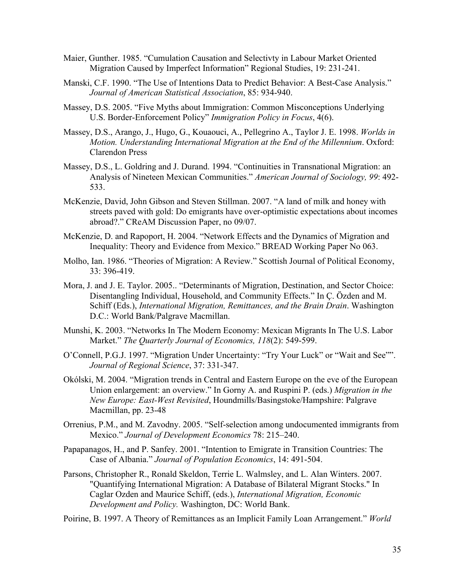- Maier, Gunther. 1985. "Cumulation Causation and Selectivty in Labour Market Oriented Migration Caused by Imperfect Information" Regional Studies, 19: 231-241.
- Manski, C.F. 1990. "The Use of Intentions Data to Predict Behavior: A Best-Case Analysis." *Journal of American Statistical Association*, 85: 934-940.
- Massey, D.S. 2005. "Five Myths about Immigration: Common Misconceptions Underlying U.S. Border-Enforcement Policy" *Immigration Policy in Focus*, 4(6).
- Massey, D.S., Arango, J., Hugo, G., Kouaouci, A., Pellegrino A., Taylor J. E. 1998. *Worlds in Motion. Understanding International Migration at the End of the Millennium*. Oxford: Clarendon Press
- Massey, D.S., L. Goldring and J. Durand. 1994. "Continuities in Transnational Migration: an Analysis of Nineteen Mexican Communities." *American Journal of Sociology, 99*: 492- 533.
- McKenzie, David, John Gibson and Steven Stillman. 2007. "A land of milk and honey with streets paved with gold: Do emigrants have over-optimistic expectations about incomes abroad?." CReAM Discussion Paper, no 09/07.
- McKenzie, D. and Rapoport, H. 2004. "Network Effects and the Dynamics of Migration and Inequality: Theory and Evidence from Mexico." BREAD Working Paper No 063.
- Molho, Ian. 1986. "Theories of Migration: A Review." Scottish Journal of Political Economy, 33: 396-419.
- Mora, J. and J. E. Taylor. 2005.. "Determinants of Migration, Destination, and Sector Choice: Disentangling Individual, Household, and Community Effects." In Ç. Özden and M. Schiff (Eds.), *International Migration, Remittances, and the Brain Drain*. Washington D.C.: World Bank/Palgrave Macmillan.
- Munshi, K. 2003. "Networks In The Modern Economy: Mexican Migrants In The U.S. Labor Market." *The Quarterly Journal of Economics, 118*(2): 549-599.
- O'Connell, P.G.J. 1997. "Migration Under Uncertainty: "Try Your Luck" or "Wait and See"". *Journal of Regional Science*, 37: 331-347.
- Okólski, M. 2004. "Migration trends in Central and Eastern Europe on the eve of the European Union enlargement: an overview." In Gorny A. and Ruspini P. (eds.) *Migration in the New Europe: East-West Revisited*, Houndmills/Basingstoke/Hampshire: Palgrave Macmillan, pp. 23-48
- Orrenius, P.M., and M. Zavodny. 2005. "Self-selection among undocumented immigrants from Mexico." *Journal of Development Economics* 78: 215–240.
- Papapanagos, H., and P. Sanfey. 2001. "Intention to Emigrate in Transition Countries: The Case of Albania." *Journal of Population Economics*, 14: 491-504.
- Parsons, Christopher R., Ronald Skeldon, Terrie L. Walmsley, and L. Alan Winters. 2007. "Quantifying International Migration: A Database of Bilateral Migrant Stocks." In Caglar Ozden and Maurice Schiff, (eds.), *International Migration, Economic Development and Policy.* Washington, DC: World Bank.

Poirine, B. 1997. A Theory of Remittances as an Implicit Family Loan Arrangement." *World*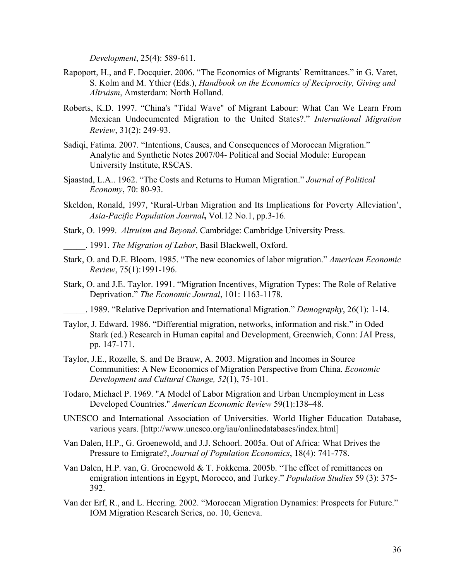*Development*, 25(4): 589-611.

- Rapoport, H., and F. Docquier. 2006. "The Economics of Migrants' Remittances." in G. Varet, S. Kolm and M. Ythier (Eds.), *Handbook on the Economics of Reciprocity, Giving and Altruism*, Amsterdam: North Holland.
- Roberts, K.D. 1997. "China's "Tidal Wave" of Migrant Labour: What Can We Learn From Mexican Undocumented Migration to the United States?." *International Migration Review*, 31(2): 249-93.
- Sadiqi, Fatima. 2007. "Intentions, Causes, and Consequences of Moroccan Migration." Analytic and Synthetic Notes 2007/04- Political and Social Module: European University Institute, RSCAS.
- Sjaastad, L.A.. 1962. "The Costs and Returns to Human Migration." *Journal of Political Economy*, 70: 80-93.
- Skeldon, Ronald, 1997, 'Rural-Urban Migration and Its Implications for Poverty Alleviation', *Asia-Pacific Population Journal***,** Vol.12 No.1, pp.3-16.
- Stark, O. 1999. *Altruism and Beyond*. Cambridge: Cambridge University Press.

\_\_\_\_\_. 1991. *The Migration of Labor*, Basil Blackwell, Oxford.

- Stark, O. and D.E. Bloom. 1985. "The new economics of labor migration." *American Economic Review*, 75(1):1991-196.
- Stark, O. and J.E. Taylor. 1991. "Migration Incentives, Migration Types: The Role of Relative Deprivation." *The Economic Journal*, 101: 1163-1178.

\_\_\_\_\_. 1989. "Relative Deprivation and International Migration." *Demography*, 26(1): 1-14.

- Taylor, J. Edward. 1986. "Differential migration, networks, information and risk." in Oded Stark (ed.) Research in Human capital and Development, Greenwich, Conn: JAI Press, pp. 147-171.
- Taylor, J.E., Rozelle, S. and De Brauw, A. 2003. Migration and Incomes in Source Communities: A New Economics of Migration Perspective from China. *Economic Development and Cultural Change, 52*(1), 75-101.
- Todaro, Michael P. 1969. "A Model of Labor Migration and Urban Unemployment in Less Developed Countries." *American Economic Review* 59(1):138–48.
- UNESCO and International Association of Universities. World Higher Education Database, various years. [http://www.unesco.org/iau/onlinedatabases/index.html]
- Van Dalen, H.P., G. Groenewold, and J.J. Schoorl. 2005a. Out of Africa: What Drives the Pressure to Emigrate?, *Journal of Population Economics*, 18(4): 741-778.
- Van Dalen, H.P. van, G. Groenewold & T. Fokkema. 2005b. "The effect of remittances on emigration intentions in Egypt, Morocco, and Turkey." *Population Studies* 59 (3): 375- 392.
- Van der Erf, R., and L. Heering. 2002. "Moroccan Migration Dynamics: Prospects for Future." IOM Migration Research Series, no. 10, Geneva.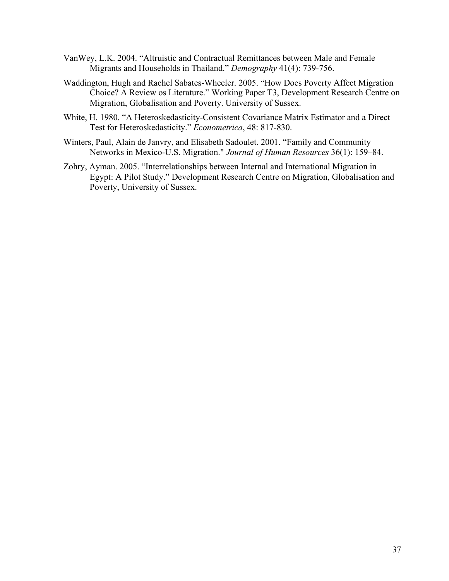- VanWey, L.K. 2004. "Altruistic and Contractual Remittances between Male and Female Migrants and Households in Thailand." *Demography* 41(4): 739-756.
- Waddington, Hugh and Rachel Sabates-Wheeler. 2005. "How Does Poverty Affect Migration Choice? A Review os Literature." Working Paper T3, Development Research Centre on Migration, Globalisation and Poverty. University of Sussex.
- White, H. 1980. "A Heteroskedasticity-Consistent Covariance Matrix Estimator and a Direct Test for Heteroskedasticity." *Econometrica*, 48: 817-830.
- Winters, Paul, Alain de Janvry, and Elisabeth Sadoulet. 2001. "Family and Community Networks in Mexico-U.S. Migration." *Journal of Human Resources* 36(1): 159–84.
- Zohry, Ayman. 2005. "Interrelationships between Internal and International Migration in Egypt: A Pilot Study." Development Research Centre on Migration, Globalisation and Poverty, University of Sussex.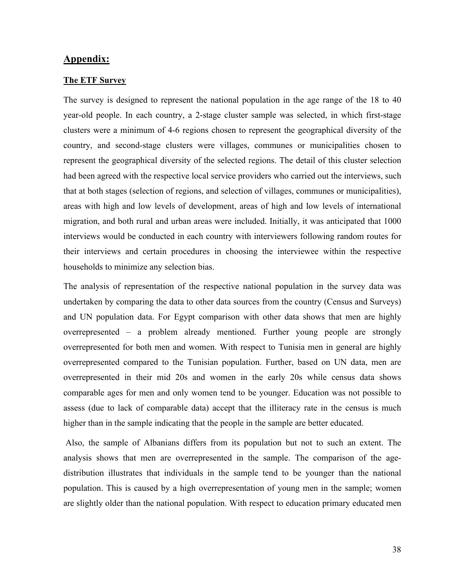## **Appendix:**

#### **The ETF Survey**

The survey is designed to represent the national population in the age range of the 18 to 40 year-old people. In each country, a 2-stage cluster sample was selected, in which first-stage clusters were a minimum of 4-6 regions chosen to represent the geographical diversity of the country, and second-stage clusters were villages, communes or municipalities chosen to represent the geographical diversity of the selected regions. The detail of this cluster selection had been agreed with the respective local service providers who carried out the interviews, such that at both stages (selection of regions, and selection of villages, communes or municipalities), areas with high and low levels of development, areas of high and low levels of international migration, and both rural and urban areas were included. Initially, it was anticipated that 1000 interviews would be conducted in each country with interviewers following random routes for their interviews and certain procedures in choosing the interviewee within the respective households to minimize any selection bias.

The analysis of representation of the respective national population in the survey data was undertaken by comparing the data to other data sources from the country (Census and Surveys) and UN population data. For Egypt comparison with other data shows that men are highly overrepresented – a problem already mentioned. Further young people are strongly overrepresented for both men and women. With respect to Tunisia men in general are highly overrepresented compared to the Tunisian population. Further, based on UN data, men are overrepresented in their mid 20s and women in the early 20s while census data shows comparable ages for men and only women tend to be younger. Education was not possible to assess (due to lack of comparable data) accept that the illiteracy rate in the census is much higher than in the sample indicating that the people in the sample are better educated.

 Also, the sample of Albanians differs from its population but not to such an extent. The analysis shows that men are overrepresented in the sample. The comparison of the agedistribution illustrates that individuals in the sample tend to be younger than the national population. This is caused by a high overrepresentation of young men in the sample; women are slightly older than the national population. With respect to education primary educated men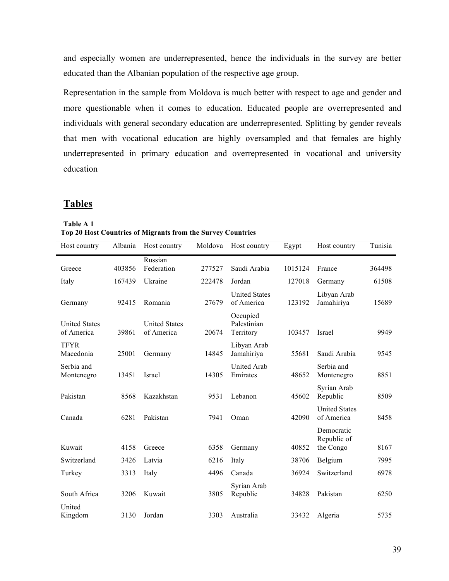and especially women are underrepresented, hence the individuals in the survey are better educated than the Albanian population of the respective age group.

Representation in the sample from Moldova is much better with respect to age and gender and more questionable when it comes to education. Educated people are overrepresented and individuals with general secondary education are underrepresented. Splitting by gender reveals that men with vocational education are highly oversampled and that females are highly underrepresented in primary education and overrepresented in vocational and university education

## **Tables**

| Table A 1                                                   |  |
|-------------------------------------------------------------|--|
| Top 20 Host Countries of Migrants from the Survey Countries |  |
|                                                             |  |

| Host country                       | Albania | Host country                       | Moldova | Host country                         | Egypt   | Host country                       | Tunisia |
|------------------------------------|---------|------------------------------------|---------|--------------------------------------|---------|------------------------------------|---------|
| Greece                             | 403856  | Russian<br>Federation              | 277527  | Saudi Arabia                         | 1015124 | France                             | 364498  |
| Italy                              | 167439  | Ukraine                            | 222478  | Jordan                               | 127018  | Germany                            | 61508   |
| Germany                            | 92415   | Romania                            | 27679   | <b>United States</b><br>of America   | 123192  | Libyan Arab<br>Jamahiriya          | 15689   |
| <b>United States</b><br>of America | 39861   | <b>United States</b><br>of America | 20674   | Occupied<br>Palestinian<br>Territory | 103457  | Israel                             | 9949    |
| <b>TFYR</b><br>Macedonia           | 25001   | Germany                            | 14845   | Libyan Arab<br>Jamahiriya            | 55681   | Saudi Arabia                       | 9545    |
| Serbia and<br>Montenegro           | 13451   | Israel                             | 14305   | <b>United Arab</b><br>Emirates       | 48652   | Serbia and<br>Montenegro           | 8851    |
| Pakistan                           | 8568    | Kazakhstan                         | 9531    | Lebanon                              | 45602   | Syrian Arab<br>Republic            | 8509    |
| Canada                             | 6281    | Pakistan                           | 7941    | Oman                                 | 42090   | <b>United States</b><br>of America | 8458    |
|                                    |         |                                    |         |                                      |         | Democratic<br>Republic of          |         |
| Kuwait                             | 4158    | Greece                             | 6358    | Germany                              | 40852   | the Congo                          | 8167    |
| Switzerland                        | 3426    | Latvia                             | 6216    | Italy                                | 38706   | Belgium                            | 7995    |
| Turkey                             | 3313    | Italy                              | 4496    | Canada                               | 36924   | Switzerland                        | 6978    |
| South Africa                       | 3206    | Kuwait                             | 3805    | Syrian Arab<br>Republic              | 34828   | Pakistan                           | 6250    |
| United<br>Kingdom                  | 3130    | Jordan                             | 3303    | Australia                            | 33432   | Algeria                            | 5735    |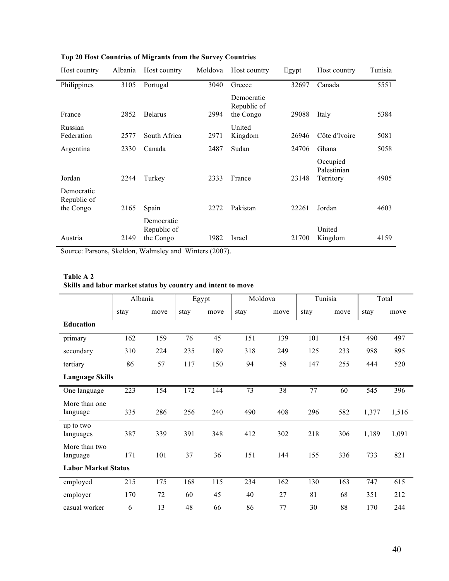| Host country                           | Albania | Host country                           | Moldova | Host country                           | Egypt | Host country                         | Tunisia |
|----------------------------------------|---------|----------------------------------------|---------|----------------------------------------|-------|--------------------------------------|---------|
| Philippines                            | 3105    | Portugal                               | 3040    | Greece                                 | 32697 | Canada                               | 5551    |
| France                                 | 2852    | <b>Belarus</b>                         | 2994    | Democratic<br>Republic of<br>the Congo | 29088 | Italy                                | 5384    |
| Russian<br>Federation                  | 2577    | South Africa                           | 2971    | United<br>Kingdom                      | 26946 | Côte d'Ivoire                        | 5081    |
| Argentina                              | 2330    | Canada                                 | 2487    | Sudan                                  | 24706 | Ghana                                | 5058    |
| Jordan                                 | 2244    | Turkey                                 | 2333    | France                                 | 23148 | Occupied<br>Palestinian<br>Territory | 4905    |
| Democratic<br>Republic of<br>the Congo | 2165    | Spain                                  | 2272    | Pakistan                               | 22261 | Jordan                               | 4603    |
| Austria                                | 2149    | Democratic<br>Republic of<br>the Congo | 1982    | Israel                                 | 21700 | United<br>Kingdom                    | 4159    |

**Top 20 Host Countries of Migrants from the Survey Countries**

Source: Parsons, Skeldon, Walmsley and Winters (2007).

#### **Table A 2 Skills and labor market status by country and intent to move**

|                            |      | Moldova<br>Albania<br>Egypt |      |      | Tunisia |      | Total |      |       |       |
|----------------------------|------|-----------------------------|------|------|---------|------|-------|------|-------|-------|
|                            | stay | move                        | stay | move | stay    | move | stay  | move | stay  | move  |
| <b>Education</b>           |      |                             |      |      |         |      |       |      |       |       |
| primary                    | 162  | 159                         | 76   | 45   | 151     | 139  | 101   | 154  | 490   | 497   |
| secondary                  | 310  | 224                         | 235  | 189  | 318     | 249  | 125   | 233  | 988   | 895   |
| tertiary                   | 86   | 57                          | 117  | 150  | 94      | 58   | 147   | 255  | 444   | 520   |
| <b>Language Skills</b>     |      |                             |      |      |         |      |       |      |       |       |
| One language               | 223  | 154                         | 172  | 144  | 73      | 38   | 77    | 60   | 545   | 396   |
| More than one<br>language  | 335  | 286                         | 256  | 240  | 490     | 408  | 296   | 582  | 1,377 | 1,516 |
| up to two<br>languages     | 387  | 339                         | 391  | 348  | 412     | 302  | 218   | 306  | 1,189 | 1,091 |
| More than two<br>language  | 171  | 101                         | 37   | 36   | 151     | 144  | 155   | 336  | 733   | 821   |
| <b>Labor Market Status</b> |      |                             |      |      |         |      |       |      |       |       |
| employed                   | 215  | 175                         | 168  | 115  | 234     | 162  | 130   | 163  | 747   | 615   |
| employer                   | 170  | 72                          | 60   | 45   | 40      | 27   | 81    | 68   | 351   | 212   |
| casual worker              | 6    | 13                          | 48   | 66   | 86      | 77   | 30    | 88   | 170   | 244   |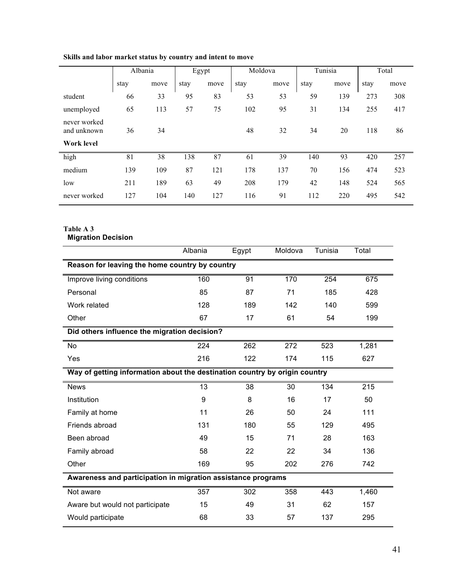|                             | Albania |      |      | Egypt | Moldova |      | Tunisia |      |      | Total |
|-----------------------------|---------|------|------|-------|---------|------|---------|------|------|-------|
|                             | stay    | move | stay | move  | stay    | move | stay    | move | stay | move  |
| student                     | 66      | 33   | 95   | 83    | 53      | 53   | 59      | 139  | 273  | 308   |
| unemployed                  | 65      | 113  | 57   | 75    | 102     | 95   | 31      | 134  | 255  | 417   |
| never worked<br>and unknown | 36      | 34   |      |       | 48      | 32   | 34      | 20   | 118  | 86    |
| <b>Work level</b>           |         |      |      |       |         |      |         |      |      |       |
| high                        | 81      | 38   | 138  | 87    | 61      | 39   | 140     | 93   | 420  | 257   |
| medium                      | 139     | 109  | 87   | 121   | 178     | 137  | 70      | 156  | 474  | 523   |
| low                         | 211     | 189  | 63   | 49    | 208     | 179  | 42      | 148  | 524  | 565   |
| never worked                | 127     | 104  | 140  | 127   | 116     | 91   | 112     | 220  | 495  | 542   |

#### **Skills and labor market status by country and intent to move**

#### **Table A 3 Migration Decision**

|                                                                            | Albania                                        | Egypt | Moldova | Tunisia | Total            |  |  |  |  |
|----------------------------------------------------------------------------|------------------------------------------------|-------|---------|---------|------------------|--|--|--|--|
|                                                                            | Reason for leaving the home country by country |       |         |         |                  |  |  |  |  |
| Improve living conditions                                                  | 160                                            | 91    | 170     | 254     | 675              |  |  |  |  |
| Personal                                                                   | 85                                             | 87    | 71      | 185     | 428              |  |  |  |  |
| Work related                                                               | 128                                            | 189   | 142     | 140     | 599              |  |  |  |  |
| Other                                                                      | 67                                             | 17    | 61      | 54      | 199              |  |  |  |  |
| Did others influence the migration decision?                               |                                                |       |         |         |                  |  |  |  |  |
| No                                                                         | 224                                            | 262   | 272     | 523     | 1,281            |  |  |  |  |
| Yes                                                                        | 216                                            | 122   | 174     | 115     | 627              |  |  |  |  |
| Way of getting information about the destination country by origin country |                                                |       |         |         |                  |  |  |  |  |
| <b>News</b>                                                                | $\overline{13}$                                | 38    | 30      | 134     | $\overline{215}$ |  |  |  |  |
| Institution                                                                | 9                                              | 8     | 16      | 17      | 50               |  |  |  |  |
| Family at home                                                             | 11                                             | 26    | 50      | 24      | 111              |  |  |  |  |
| Friends abroad                                                             | 131                                            | 180   | 55      | 129     | 495              |  |  |  |  |
| Been abroad                                                                | 49                                             | 15    | 71      | 28      | 163              |  |  |  |  |
| Family abroad                                                              | 58                                             | 22    | 22      | 34      | 136              |  |  |  |  |
| Other                                                                      | 169                                            | 95    | 202     | 276     | 742              |  |  |  |  |
| Awareness and participation in migration assistance programs               |                                                |       |         |         |                  |  |  |  |  |
| Not aware                                                                  | 357                                            | 302   | 358     | 443     | 1,460            |  |  |  |  |
| Aware but would not participate                                            | 15                                             | 49    | 31      | 62      | 157              |  |  |  |  |
| Would participate                                                          | 68                                             | 33    | 57      | 137     | 295              |  |  |  |  |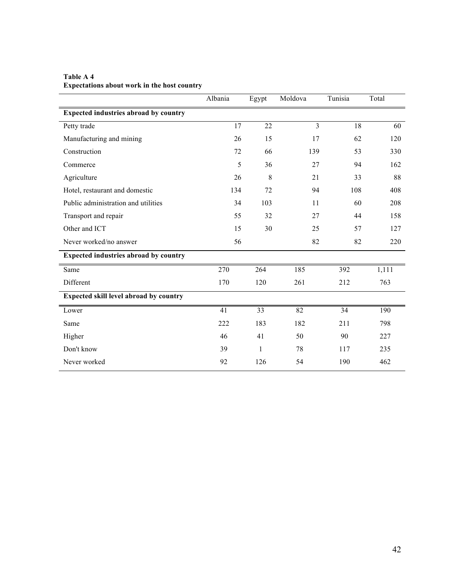|                                              | Albania | Egypt | Moldova | Tunisia | Total |
|----------------------------------------------|---------|-------|---------|---------|-------|
| <b>Expected industries abroad by country</b> |         |       |         |         |       |
| Petty trade                                  | 17      | 22    | 3       | 18      | 60    |
| Manufacturing and mining                     | 26      | 15    | 17      | 62      | 120   |
| Construction                                 | 72      | 66    | 139     | 53      | 330   |
| Commerce                                     | 5       | 36    | 27      | 94      | 162   |
| Agriculture                                  | 26      | 8     | 21      | 33      | 88    |
| Hotel, restaurant and domestic               | 134     | 72    | 94      | 108     | 408   |
| Public administration and utilities          | 34      | 103   | 11      | 60      | 208   |
| Transport and repair                         | 55      | 32    | 27      | 44      | 158   |
| Other and ICT                                | 15      | 30    | 25      | 57      | 127   |
| Never worked/no answer                       | 56      |       | 82      | 82      | 220   |
| <b>Expected industries abroad by country</b> |         |       |         |         |       |
| Same                                         | 270     | 264   | 185     | 392     | 1,111 |
| Different                                    | 170     | 120   | 261     | 212     | 763   |
| Expected skill level abroad by country       |         |       |         |         |       |
| Lower                                        | 41      | 33    | 82      | 34      | 190   |
| Same                                         | 222     | 183   | 182     | 211     | 798   |
| Higher                                       | 46      | 41    | 50      | 90      | 227   |
| Don't know                                   | 39      | 1     | 78      | 117     | 235   |
| Never worked                                 | 92      | 126   | 54      | 190     | 462   |

**Table A 4 Expectations about work in the host country**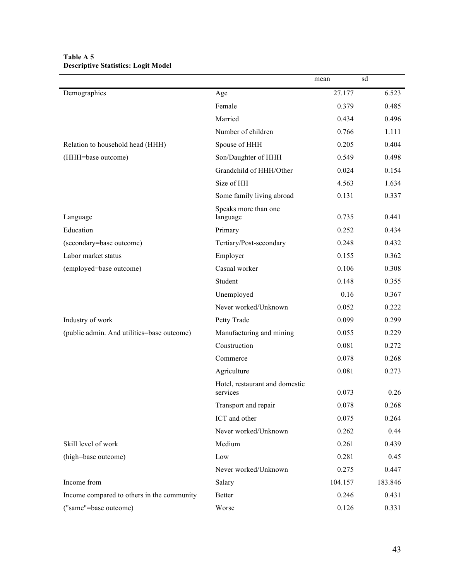|                                            |                                            | mean    | sd      |
|--------------------------------------------|--------------------------------------------|---------|---------|
| Demographics                               | Age                                        | 27.177  | 6.523   |
|                                            | Female                                     | 0.379   | 0.485   |
|                                            | Married                                    | 0.434   | 0.496   |
|                                            | Number of children                         | 0.766   | 1.111   |
| Relation to household head (HHH)           | Spouse of HHH                              | 0.205   | 0.404   |
| (HHH=base outcome)                         | Son/Daughter of HHH                        | 0.549   | 0.498   |
|                                            | Grandchild of HHH/Other                    | 0.024   | 0.154   |
|                                            | Size of HH                                 | 4.563   | 1.634   |
|                                            | Some family living abroad                  | 0.131   | 0.337   |
| Language                                   | Speaks more than one<br>language           | 0.735   | 0.441   |
| Education                                  | Primary                                    | 0.252   | 0.434   |
| (secondary=base outcome)                   | Tertiary/Post-secondary                    | 0.248   | 0.432   |
| Labor market status                        | Employer                                   | 0.155   | 0.362   |
| (employed=base outcome)                    | Casual worker                              | 0.106   | 0.308   |
|                                            | Student                                    | 0.148   | 0.355   |
|                                            | Unemployed                                 | 0.16    | 0.367   |
|                                            | Never worked/Unknown                       | 0.052   | 0.222   |
| Industry of work                           | Petty Trade                                | 0.099   | 0.299   |
| (public admin. And utilities=base outcome) | Manufacturing and mining                   | 0.055   | 0.229   |
|                                            | Construction                               | 0.081   | 0.272   |
|                                            | Commerce                                   | 0.078   | 0.268   |
|                                            | Agriculture                                | 0.081   | 0.273   |
|                                            | Hotel, restaurant and domestic<br>services | 0.073   | 0.26    |
|                                            | Transport and repair                       | 0.078   | 0.268   |
|                                            | ICT and other                              | 0.075   | 0.264   |
|                                            | Never worked/Unknown                       | 0.262   | 0.44    |
| Skill level of work                        | Medium                                     | 0.261   | 0.439   |
| (high=base outcome)                        | Low                                        | 0.281   | 0.45    |
|                                            | Never worked/Unknown                       | 0.275   | 0.447   |
| Income from                                | Salary                                     | 104.157 | 183.846 |
| Income compared to others in the community | Better                                     | 0.246   | 0.431   |
| ("same"=base outcome)                      | Worse                                      | 0.126   | 0.331   |

#### **Table A 5 Descriptive Statistics: Logit Model**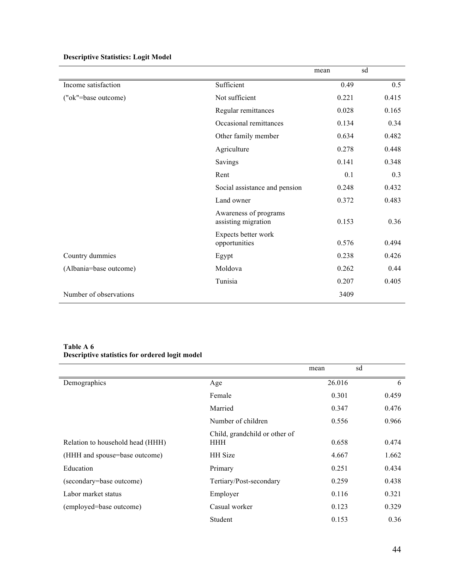|                        |                                              | mean  | sd    |
|------------------------|----------------------------------------------|-------|-------|
| Income satisfaction    | Sufficient                                   | 0.49  | 0.5   |
| ("ok"=base outcome)    | Not sufficient                               | 0.221 | 0.415 |
|                        | Regular remittances                          | 0.028 | 0.165 |
|                        | Occasional remittances                       | 0.134 | 0.34  |
|                        | Other family member                          | 0.634 | 0.482 |
|                        | Agriculture                                  | 0.278 | 0.448 |
|                        | Savings                                      | 0.141 | 0.348 |
|                        | Rent                                         | 0.1   | 0.3   |
|                        | Social assistance and pension                | 0.248 | 0.432 |
|                        | Land owner                                   | 0.372 | 0.483 |
|                        | Awareness of programs<br>assisting migration | 0.153 | 0.36  |
|                        | Expects better work<br>opportunities         | 0.576 | 0.494 |
| Country dummies        | Egypt                                        | 0.238 | 0.426 |
| (Albania=base outcome) | Moldova                                      | 0.262 | 0.44  |
|                        | Tunisia                                      | 0.207 | 0.405 |
| Number of observations |                                              | 3409  |       |

## **Descriptive Statistics: Logit Model**

#### **Table A 6 Descriptive statistics for ordered logit model**

|                                  |                               | mean   | sd    |
|----------------------------------|-------------------------------|--------|-------|
| Demographics                     | Age                           | 26.016 | 6     |
|                                  | Female                        | 0.301  | 0.459 |
|                                  | Married                       | 0.347  | 0.476 |
|                                  | Number of children            | 0.556  | 0.966 |
|                                  | Child, grandchild or other of |        |       |
| Relation to household head (HHH) | <b>HHH</b>                    | 0.658  | 0.474 |
| (HHH and spouse=base outcome)    | <b>HH</b> Size                | 4.667  | 1.662 |
| Education                        | Primary                       | 0.251  | 0.434 |
| (secondary=base outcome)         | Tertiary/Post-secondary       | 0.259  | 0.438 |
| Labor market status              | Employer                      | 0.116  | 0.321 |
| (employed=base outcome)          | Casual worker                 | 0.123  | 0.329 |
|                                  | Student                       | 0.153  | 0.36  |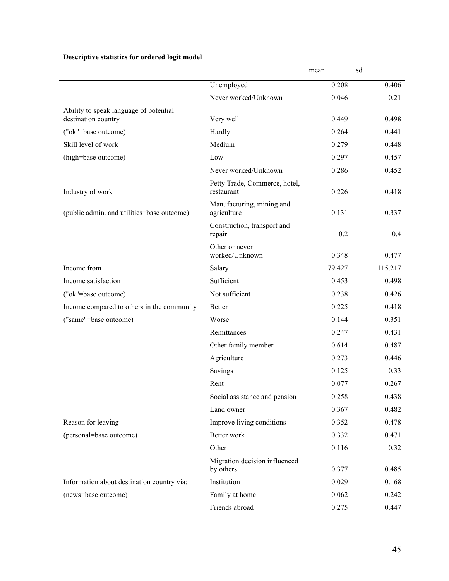|                                            |                                             | mean   | sd      |
|--------------------------------------------|---------------------------------------------|--------|---------|
|                                            | Unemployed                                  | 0.208  | 0.406   |
|                                            | Never worked/Unknown                        | 0.046  | 0.21    |
| Ability to speak language of potential     |                                             |        |         |
| destination country                        | Very well                                   | 0.449  | 0.498   |
| ("ok"=base outcome)                        | Hardly                                      | 0.264  | 0.441   |
| Skill level of work                        | Medium                                      | 0.279  | 0.448   |
| (high=base outcome)                        | Low                                         | 0.297  | 0.457   |
|                                            | Never worked/Unknown                        | 0.286  | 0.452   |
| Industry of work                           | Petty Trade, Commerce, hotel,<br>restaurant | 0.226  | 0.418   |
| (public admin. and utilities=base outcome) | Manufacturing, mining and<br>agriculture    | 0.131  | 0.337   |
|                                            | Construction, transport and<br>repair       | 0.2    | 0.4     |
|                                            | Other or never<br>worked/Unknown            | 0.348  | 0.477   |
| Income from                                | Salary                                      | 79.427 | 115.217 |
| Income satisfaction                        | Sufficient                                  | 0.453  | 0.498   |
| ("ok"=base outcome)                        | Not sufficient                              | 0.238  | 0.426   |
| Income compared to others in the community | <b>Better</b>                               | 0.225  | 0.418   |
| ("same"=base outcome)                      | Worse                                       | 0.144  | 0.351   |
|                                            | Remittances                                 | 0.247  | 0.431   |
|                                            | Other family member                         | 0.614  | 0.487   |
|                                            | Agriculture                                 | 0.273  | 0.446   |
|                                            | Savings                                     | 0.125  | 0.33    |
|                                            | Rent                                        | 0.077  | 0.267   |
|                                            | Social assistance and pension               | 0.258  | 0.438   |
|                                            | Land owner                                  | 0.367  | 0.482   |
| Reason for leaving                         | Improve living conditions                   | 0.352  | 0.478   |
| (personal=base outcome)                    | Better work                                 | 0.332  | 0.471   |
|                                            | Other                                       | 0.116  | 0.32    |
|                                            | Migration decision influenced<br>by others  | 0.377  | 0.485   |
| Information about destination country via: | Institution                                 | 0.029  | 0.168   |
| (news=base outcome)                        | Family at home                              | 0.062  | 0.242   |
|                                            | Friends abroad                              | 0.275  | 0.447   |

#### **Descriptive statistics for ordered logit model**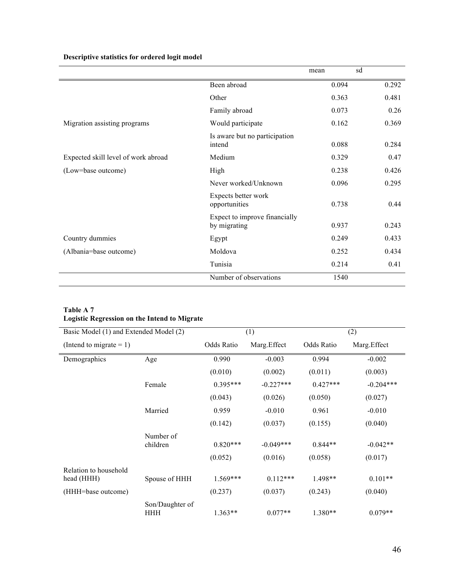**Descriptive statistics for ordered logit model**

|                                     |                                               | mean  | sd    |
|-------------------------------------|-----------------------------------------------|-------|-------|
|                                     | Been abroad                                   | 0.094 | 0.292 |
|                                     | Other                                         | 0.363 | 0.481 |
|                                     | Family abroad                                 | 0.073 | 0.26  |
| Migration assisting programs        | Would participate                             | 0.162 | 0.369 |
|                                     | Is aware but no participation<br>intend       | 0.088 | 0.284 |
| Expected skill level of work abroad | Medium                                        | 0.329 | 0.47  |
| (Low=base outcome)                  | High                                          | 0.238 | 0.426 |
|                                     | Never worked/Unknown                          | 0.096 | 0.295 |
|                                     | Expects better work<br>opportunities          | 0.738 | 0.44  |
|                                     | Expect to improve financially<br>by migrating | 0.937 | 0.243 |
| Country dummies                     | Egypt                                         | 0.249 | 0.433 |
| (Albania=base outcome)              | Moldova                                       | 0.252 | 0.434 |
|                                     | Tunisia                                       | 0.214 | 0.41  |
|                                     | Number of observations                        | 1540  |       |

#### **Table A 7 Logistic Regression on the Intend to Migrate**

| Basic Model (1) and Extended Model (2) |                               |            | (1)         |            | (2)          |  |
|----------------------------------------|-------------------------------|------------|-------------|------------|--------------|--|
| (Intend to migrate $= 1$ )             |                               | Odds Ratio | Marg.Effect | Odds Ratio | Marg. Effect |  |
| Demographics                           | Age                           | 0.990      | $-0.003$    | 0.994      | $-0.002$     |  |
|                                        |                               | (0.010)    | (0.002)     | (0.011)    | (0.003)      |  |
|                                        | Female                        | $0.395***$ | $-0.227***$ | $0.427***$ | $-0.204***$  |  |
|                                        |                               | (0.043)    | (0.026)     | (0.050)    | (0.027)      |  |
|                                        | Married                       | 0.959      | $-0.010$    | 0.961      | $-0.010$     |  |
|                                        |                               | (0.142)    | (0.037)     | (0.155)    | (0.040)      |  |
|                                        | Number of<br>children         | $0.820***$ | $-0.049***$ | $0.844**$  | $-0.042**$   |  |
|                                        |                               | (0.052)    | (0.016)     | (0.058)    | (0.017)      |  |
| Relation to household<br>head (HHH)    | Spouse of HHH                 | $1.569***$ | $0.112***$  | 1.498**    | $0.101**$    |  |
| (HHH=base outcome)                     |                               | (0.237)    | (0.037)     | (0.243)    | (0.040)      |  |
|                                        | Son/Daughter of<br><b>HHH</b> | $1.363**$  | $0.077**$   | $1.380**$  | $0.079**$    |  |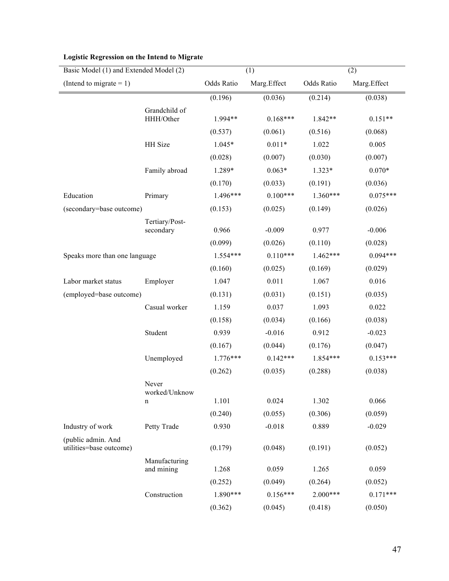|                                               | Basic Model (1) and Extended Model (2) |            | (1)         |            | (2)         |  |
|-----------------------------------------------|----------------------------------------|------------|-------------|------------|-------------|--|
| (Intend to migrate $= 1$ )                    |                                        | Odds Ratio | Marg.Effect | Odds Ratio | Marg.Effect |  |
|                                               |                                        | (0.196)    | (0.036)     | (0.214)    | (0.038)     |  |
|                                               | Grandchild of<br>HHH/Other             | 1.994**    | $0.168***$  | 1.842**    | $0.151**$   |  |
|                                               |                                        | (0.537)    | (0.061)     | (0.516)    | (0.068)     |  |
|                                               | <b>HH</b> Size                         | 1.045*     | $0.011*$    | 1.022      | 0.005       |  |
|                                               |                                        | (0.028)    | (0.007)     | (0.030)    | (0.007)     |  |
|                                               | Family abroad                          | 1.289*     | $0.063*$    | $1.323*$   | $0.070*$    |  |
|                                               |                                        | (0.170)    | (0.033)     | (0.191)    | (0.036)     |  |
| Education                                     | Primary                                | 1.496***   | $0.100***$  | $1.360***$ | $0.075***$  |  |
| (secondary=base outcome)                      |                                        | (0.153)    | (0.025)     | (0.149)    | (0.026)     |  |
|                                               | Tertiary/Post-<br>secondary            | 0.966      | $-0.009$    | 0.977      | $-0.006$    |  |
|                                               |                                        | (0.099)    | (0.026)     | (0.110)    | (0.028)     |  |
| Speaks more than one language                 |                                        | $1.554***$ | $0.110***$  | $1.462***$ | $0.094***$  |  |
|                                               |                                        | (0.160)    | (0.025)     | (0.169)    | (0.029)     |  |
| Labor market status                           | Employer                               | 1.047      | 0.011       | 1.067      | 0.016       |  |
| (employed=base outcome)                       |                                        | (0.131)    | (0.031)     | (0.151)    | (0.035)     |  |
|                                               | Casual worker                          | 1.159      | 0.037       | 1.093      | 0.022       |  |
|                                               |                                        | (0.158)    | (0.034)     | (0.166)    | (0.038)     |  |
|                                               | Student                                | 0.939      | $-0.016$    | 0.912      | $-0.023$    |  |
|                                               |                                        | (0.167)    | (0.044)     | (0.176)    | (0.047)     |  |
|                                               | Unemployed                             | $1.776***$ | $0.142***$  | 1.854***   | $0.153***$  |  |
|                                               |                                        | (0.262)    | (0.035)     | (0.288)    | (0.038)     |  |
|                                               | Never<br>worked/Unknow                 |            | 0.024       |            | 0.066       |  |
|                                               | n                                      | 1.101      |             | 1.302      |             |  |
|                                               |                                        | (0.240)    | (0.055)     | (0.306)    | (0.059)     |  |
| Industry of work                              | Petty Trade                            | 0.930      | $-0.018$    | 0.889      | $-0.029$    |  |
| (public admin. And<br>utilities=base outcome) |                                        | (0.179)    | (0.048)     | (0.191)    | (0.052)     |  |
|                                               | Manufacturing<br>and mining            | 1.268      | 0.059       | 1.265      | 0.059       |  |
|                                               |                                        | (0.252)    | (0.049)     | (0.264)    | (0.052)     |  |
|                                               | Construction                           | 1.890***   | $0.156***$  | $2.000***$ | $0.171***$  |  |
|                                               |                                        | (0.362)    | (0.045)     | (0.418)    | (0.050)     |  |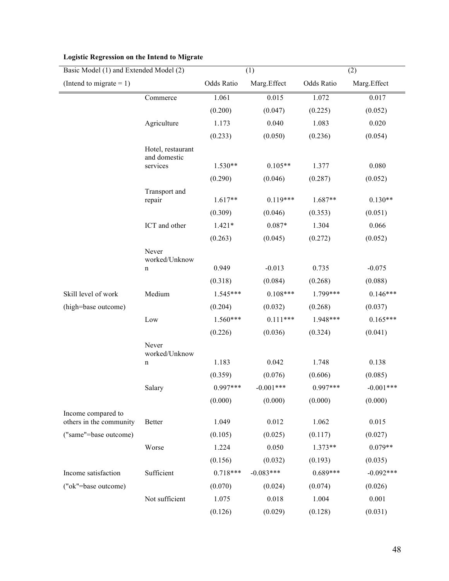| Basic Model (1) and Extended Model (2)        |                                   | (1)        |             | (2)        |             |
|-----------------------------------------------|-----------------------------------|------------|-------------|------------|-------------|
| (Intend to migrate $= 1$ )                    |                                   | Odds Ratio | Marg.Effect | Odds Ratio | Marg.Effect |
|                                               | Commerce                          | 1.061      | 0.015       | 1.072      | 0.017       |
|                                               |                                   | (0.200)    | (0.047)     | (0.225)    | (0.052)     |
|                                               | Agriculture                       | 1.173      | 0.040       | 1.083      | 0.020       |
|                                               |                                   | (0.233)    | (0.050)     | (0.236)    | (0.054)     |
|                                               | Hotel, restaurant<br>and domestic |            |             |            |             |
|                                               | services                          | $1.530**$  | $0.105**$   | 1.377      | 0.080       |
|                                               |                                   | (0.290)    | (0.046)     | (0.287)    | (0.052)     |
|                                               | Transport and                     |            |             |            |             |
|                                               | repair                            | $1.617**$  | $0.119***$  | $1.687**$  | $0.130**$   |
|                                               |                                   | (0.309)    | (0.046)     | (0.353)    | (0.051)     |
|                                               | ICT and other                     | $1.421*$   | $0.087*$    | 1.304      | 0.066       |
|                                               |                                   | (0.263)    | (0.045)     | (0.272)    | (0.052)     |
|                                               | Never<br>worked/Unknow            |            |             |            |             |
|                                               | n                                 | 0.949      | $-0.013$    | 0.735      | $-0.075$    |
|                                               |                                   | (0.318)    | (0.084)     | (0.268)    | (0.088)     |
| Skill level of work                           | Medium                            | $1.545***$ | $0.108***$  | 1.799***   | $0.146***$  |
| (high=base outcome)                           |                                   | (0.204)    | (0.032)     | (0.268)    | (0.037)     |
|                                               | Low                               | $1.560***$ | $0.111***$  | 1.948***   | $0.165***$  |
|                                               |                                   | (0.226)    | (0.036)     | (0.324)    | (0.041)     |
|                                               | Never<br>worked/Unknow            |            |             |            |             |
|                                               | n                                 | 1.183      | 0.042       | 1.748      | 0.138       |
|                                               |                                   | (0.359)    | (0.076)     | (0.606)    | (0.085)     |
|                                               | Salary                            | $0.997***$ | $-0.001***$ | 0.997***   | $-0.001***$ |
|                                               |                                   | (0.000)    | (0.000)     | (0.000)    | (0.000)     |
| Income compared to<br>others in the community | <b>Better</b>                     | 1.049      | 0.012       | 1.062      | 0.015       |
| ("same"=base outcome)                         |                                   | (0.105)    | (0.025)     | (0.117)    | (0.027)     |
|                                               | Worse                             | 1.224      | 0.050       | $1.373**$  | $0.079**$   |
|                                               |                                   | (0.156)    | (0.032)     | (0.193)    | (0.035)     |
| Income satisfaction                           | Sufficient                        | $0.718***$ | $-0.083***$ | $0.689***$ | $-0.092***$ |
| ("ok"=base outcome)                           |                                   | (0.070)    | (0.024)     | (0.074)    | (0.026)     |
|                                               | Not sufficient                    | 1.075      | 0.018       | 1.004      | 0.001       |
|                                               |                                   | (0.126)    | (0.029)     | (0.128)    | (0.031)     |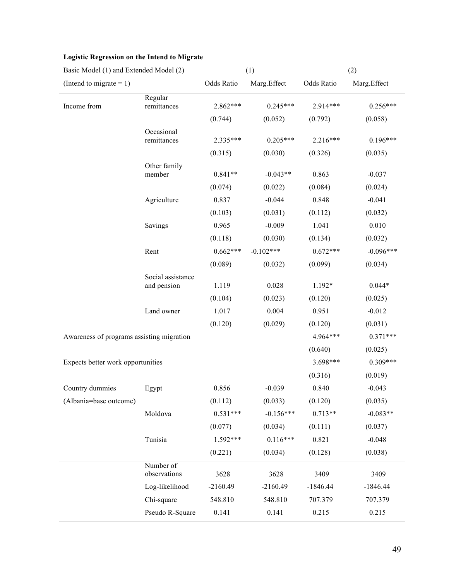| Basic Model (1) and Extended Model (2)    |                           | (1)        |             | (2)        |             |
|-------------------------------------------|---------------------------|------------|-------------|------------|-------------|
| (Intend to migrate $= 1$ )                |                           | Odds Ratio | Marg.Effect | Odds Ratio | Marg.Effect |
|                                           | Regular                   |            |             |            |             |
| Income from                               | remittances               | 2.862***   | $0.245***$  | $2.914***$ | $0.256***$  |
|                                           |                           | (0.744)    | (0.052)     | (0.792)    | (0.058)     |
|                                           | Occasional<br>remittances | 2.335***   | $0.205***$  | $2.216***$ | $0.196***$  |
|                                           |                           | (0.315)    | (0.030)     | (0.326)    | (0.035)     |
|                                           | Other family<br>member    | $0.841**$  | $-0.043**$  | 0.863      | $-0.037$    |
|                                           |                           | (0.074)    | (0.022)     | (0.084)    | (0.024)     |
|                                           | Agriculture               | 0.837      | $-0.044$    | 0.848      | $-0.041$    |
|                                           |                           | (0.103)    | (0.031)     | (0.112)    | (0.032)     |
|                                           | Savings                   | 0.965      | $-0.009$    | 1.041      | 0.010       |
|                                           |                           | (0.118)    | (0.030)     | (0.134)    | (0.032)     |
|                                           | Rent                      | $0.662***$ | $-0.102***$ | $0.672***$ | $-0.096***$ |
|                                           |                           | (0.089)    | (0.032)     | (0.099)    | (0.034)     |
|                                           | Social assistance         |            |             |            |             |
|                                           | and pension               | 1.119      | 0.028       | 1.192*     | $0.044*$    |
|                                           |                           | (0.104)    | (0.023)     | (0.120)    | (0.025)     |
|                                           | Land owner                | 1.017      | 0.004       | 0.951      | $-0.012$    |
|                                           |                           | (0.120)    | (0.029)     | (0.120)    | (0.031)     |
| Awareness of programs assisting migration |                           |            |             | 4.964***   | $0.371***$  |
|                                           |                           |            |             | (0.640)    | (0.025)     |
| Expects better work opportunities         |                           |            |             | 3.698***   | $0.309***$  |
|                                           |                           |            |             | (0.316)    | (0.019)     |
| Country dummies                           | Egypt                     | 0.856      | $-0.039$    | 0.840      | $-0.043$    |
| (Albania=base outcome)                    |                           | (0.112)    | (0.033)     | (0.120)    | (0.035)     |
|                                           | Moldova                   | $0.531***$ | $-0.156***$ | $0.713**$  | $-0.083**$  |
|                                           |                           | (0.077)    | (0.034)     | (0.111)    | (0.037)     |
|                                           | Tunisia                   | $1.592***$ | $0.116***$  | 0.821      | $-0.048$    |
|                                           |                           | (0.221)    | (0.034)     | (0.128)    | (0.038)     |
|                                           | Number of<br>observations | 3628       | 3628        | 3409       | 3409        |
|                                           | Log-likelihood            | $-2160.49$ | $-2160.49$  | $-1846.44$ | $-1846.44$  |
|                                           |                           |            |             |            |             |
|                                           | Chi-square                | 548.810    | 548.810     | 707.379    | 707.379     |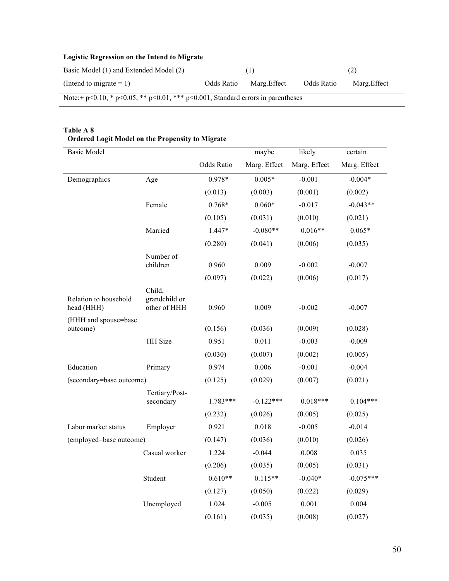| Basic Model (1) and Extended Model (2)                                                      |            |             |            | (2)          |  |  |
|---------------------------------------------------------------------------------------------|------------|-------------|------------|--------------|--|--|
| (Intend to migrate $= 1$ )                                                                  | Odds Ratio | Marg.Effect | Odds Ratio | Marg. Effect |  |  |
| Note:+ $p<0.10$ , * $p<0.05$ , ** $p<0.01$ , *** $p<0.001$ , Standard errors in parentheses |            |             |            |              |  |  |

## **Table A 8**

| <b>Basic Model</b>                  |                                         |            | maybe        | likely       | certain      |
|-------------------------------------|-----------------------------------------|------------|--------------|--------------|--------------|
|                                     |                                         | Odds Ratio | Marg. Effect | Marg. Effect | Marg. Effect |
| Demographics                        | Age                                     | 0.978*     | $0.005*$     | $-0.001$     | $-0.004*$    |
|                                     |                                         | (0.013)    | (0.003)      | (0.001)      | (0.002)      |
|                                     | Female                                  | 0.768*     | $0.060*$     | $-0.017$     | $-0.043**$   |
|                                     |                                         | (0.105)    | (0.031)      | (0.010)      | (0.021)      |
|                                     | Married                                 | 1.447*     | $-0.080**$   | $0.016**$    | $0.065*$     |
|                                     |                                         | (0.280)    | (0.041)      | (0.006)      | (0.035)      |
|                                     | Number of<br>children                   | 0.960      | 0.009        | $-0.002$     | $-0.007$     |
|                                     |                                         | (0.097)    | (0.022)      | (0.006)      | (0.017)      |
| Relation to household<br>head (HHH) | Child,<br>grandchild or<br>other of HHH | 0.960      | 0.009        | $-0.002$     | $-0.007$     |
| (HHH and spouse=base<br>outcome)    |                                         | (0.156)    | (0.036)      | (0.009)      | (0.028)      |
|                                     | HH Size                                 | 0.951      | 0.011        | $-0.003$     | $-0.009$     |
|                                     |                                         | (0.030)    | (0.007)      | (0.002)      | (0.005)      |
| Education                           | Primary                                 | 0.974      | 0.006        | $-0.001$     | $-0.004$     |
| (secondary=base outcome)            |                                         | (0.125)    | (0.029)      | (0.007)      | (0.021)      |
|                                     | Tertiary/Post-<br>secondary             | $1.783***$ | $-0.122***$  | $0.018***$   | $0.104***$   |
|                                     |                                         | (0.232)    | (0.026)      | (0.005)      | (0.025)      |
| Labor market status                 | Employer                                | 0.921      | 0.018        | $-0.005$     | $-0.014$     |
| (employed=base outcome)             |                                         | (0.147)    | (0.036)      | (0.010)      | (0.026)      |
|                                     | Casual worker                           | 1.224      | $-0.044$     | 0.008        | 0.035        |
|                                     |                                         | (0.206)    | (0.035)      | (0.005)      | (0.031)      |
|                                     | Student                                 | $0.610**$  | $0.115**$    | $-0.040*$    | $-0.075***$  |
|                                     |                                         | (0.127)    | (0.050)      | (0.022)      | (0.029)      |
|                                     | Unemployed                              | 1.024      | $-0.005$     | 0.001        | 0.004        |
|                                     |                                         | (0.161)    | (0.035)      | (0.008)      | (0.027)      |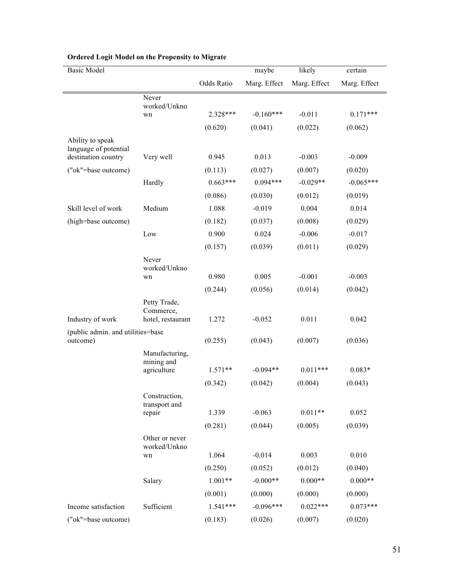| Basic Model                                   |                                |            | maybe        | likely       | certain      |
|-----------------------------------------------|--------------------------------|------------|--------------|--------------|--------------|
|                                               |                                | Odds Ratio | Marg. Effect | Marg. Effect | Marg. Effect |
|                                               | Never                          |            |              |              |              |
|                                               | worked/Unkno<br>wn             | 2.328***   | $-0.160***$  | $-0.011$     | $0.171***$   |
|                                               |                                | (0.620)    | (0.041)      | (0.022)      | (0.062)      |
| Ability to speak                              |                                |            |              |              |              |
| language of potential<br>destination country  | Very well                      | 0.945      | 0.013        | $-0.003$     | $-0.009$     |
| ("ok"=base outcome)                           |                                | (0.113)    | (0.027)      | (0.007)      | (0.020)      |
|                                               | Hardly                         | $0.663***$ | $0.094***$   | $-0.029**$   | $-0.065***$  |
|                                               |                                | (0.086)    | (0.030)      | (0.012)      | (0.019)      |
| Skill level of work                           | Medium                         | 1.088      | $-0.019$     | 0.004        | 0.014        |
| (high=base outcome)                           |                                | (0.182)    | (0.037)      | (0.008)      | (0.029)      |
|                                               | Low                            | 0.900      | 0.024        | $-0.006$     | $-0.017$     |
|                                               |                                | (0.157)    | (0.039)      | (0.011)      | (0.029)      |
|                                               | Never                          |            |              |              |              |
|                                               | worked/Unkno<br>wn             | 0.980      | 0.005        | $-0.001$     | $-0.003$     |
|                                               |                                | (0.244)    | (0.056)      | (0.014)      | (0.042)      |
|                                               | Petty Trade,                   |            |              |              |              |
|                                               | Commerce,                      |            |              |              |              |
| Industry of work                              | hotel, restaurant              | 1.272      | $-0.052$     | 0.011        | 0.042        |
| (public admin. and utilities=base<br>outcome) |                                | (0.255)    | (0.043)      | (0.007)      | (0.036)      |
|                                               | Manufacturing,                 |            |              |              |              |
|                                               | mining and<br>agriculture      | $1.571**$  | $-0.094**$   | $0.011***$   | $0.083*$     |
|                                               |                                | (0.342)    | (0.042)      | (0.004)      | (0.043)      |
|                                               | Construction,                  |            |              |              |              |
|                                               | transport and                  |            |              |              |              |
|                                               | repair                         | 1.339      | $-0.063$     | $0.011**$    | 0.052        |
|                                               |                                | (0.281)    | (0.044)      | (0.005)      | (0.039)      |
|                                               | Other or never<br>worked/Unkno |            |              |              |              |
|                                               | wn                             | 1.064      | $-0.014$     | 0.003        | 0.010        |
|                                               |                                | (0.250)    | (0.052)      | (0.012)      | (0.040)      |
|                                               | Salary                         | $1.001**$  | $-0.000**$   | $0.000**$    | $0.000**$    |
|                                               |                                | (0.001)    | (0.000)      | (0.000)      | (0.000)      |
| Income satisfaction                           | Sufficient                     | $1.541***$ | $-0.096***$  | $0.022***$   | $0.073***$   |
| ("ok"=base outcome)                           |                                | (0.183)    | (0.026)      | (0.007)      | (0.020)      |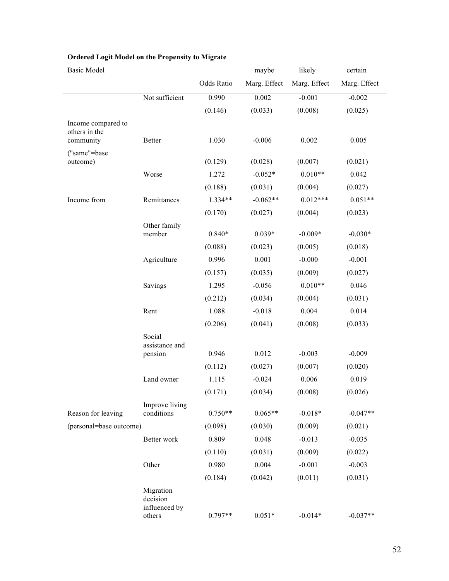| <b>Basic Model</b>         |                                                  |            | maybe        | likely       | certain      |
|----------------------------|--------------------------------------------------|------------|--------------|--------------|--------------|
|                            |                                                  | Odds Ratio | Marg. Effect | Marg. Effect | Marg. Effect |
|                            | Not sufficient                                   | 0.990      | 0.002        | $-0.001$     | $-0.002$     |
|                            |                                                  | (0.146)    | (0.033)      | (0.008)      | (0.025)      |
| Income compared to         |                                                  |            |              |              |              |
| others in the<br>community | Better                                           | 1.030      | $-0.006$     | 0.002        | 0.005        |
| ("same"=base               |                                                  |            |              |              |              |
| outcome)                   |                                                  | (0.129)    | (0.028)      | (0.007)      | (0.021)      |
|                            | Worse                                            | 1.272      | $-0.052*$    | $0.010**$    | 0.042        |
|                            |                                                  | (0.188)    | (0.031)      | (0.004)      | (0.027)      |
| Income from                | Remittances                                      | 1.334**    | $-0.062**$   | $0.012***$   | $0.051**$    |
|                            |                                                  | (0.170)    | (0.027)      | (0.004)      | (0.023)      |
|                            | Other family                                     |            |              |              |              |
|                            | member                                           | $0.840*$   | $0.039*$     | $-0.009*$    | $-0.030*$    |
|                            |                                                  | (0.088)    | (0.023)      | (0.005)      | (0.018)      |
|                            | Agriculture                                      | 0.996      | 0.001        | $-0.000$     | $-0.001$     |
|                            |                                                  | (0.157)    | (0.035)      | (0.009)      | (0.027)      |
|                            | Savings                                          | 1.295      | $-0.056$     | $0.010**$    | 0.046        |
|                            |                                                  | (0.212)    | (0.034)      | (0.004)      | (0.031)      |
|                            | Rent                                             | 1.088      | $-0.018$     | 0.004        | 0.014        |
|                            |                                                  | (0.206)    | (0.041)      | (0.008)      | (0.033)      |
|                            | Social                                           |            |              |              |              |
|                            | assistance and<br>pension                        | 0.946      | 0.012        | $-0.003$     | $-0.009$     |
|                            |                                                  | (0.112)    | (0.027)      | (0.007)      | (0.020)      |
|                            | Land owner                                       | 1.115      | $-0.024$     | 0.006        | 0.019        |
|                            |                                                  | (0.171)    | (0.034)      | (0.008)      | (0.026)      |
|                            | Improve living                                   |            |              |              |              |
| Reason for leaving         | conditions                                       | $0.750**$  | $0.065**$    | $-0.018*$    | $-0.047**$   |
| (personal=base outcome)    |                                                  | (0.098)    | (0.030)      | (0.009)      | (0.021)      |
|                            | Better work                                      | 0.809      | 0.048        | $-0.013$     | $-0.035$     |
|                            |                                                  | (0.110)    | (0.031)      | (0.009)      | (0.022)      |
|                            | Other                                            | 0.980      | 0.004        | $-0.001$     | $-0.003$     |
|                            |                                                  | (0.184)    | (0.042)      | (0.011)      | (0.031)      |
|                            | Migration<br>decision<br>influenced by<br>others | $0.797**$  | $0.051*$     | $-0.014*$    | $-0.037**$   |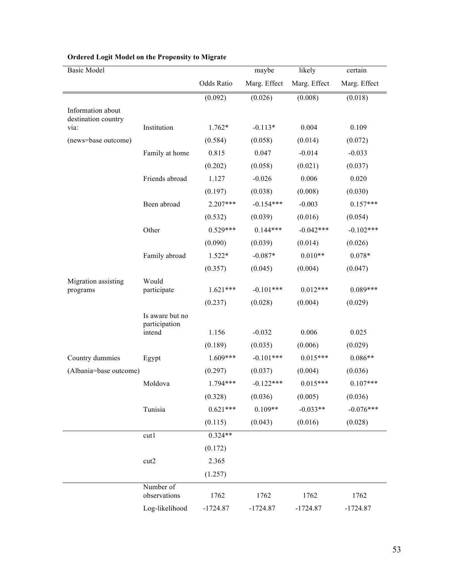| <b>Basic Model</b>                       |                                  |            | maybe        | likely       | certain      |
|------------------------------------------|----------------------------------|------------|--------------|--------------|--------------|
|                                          |                                  | Odds Ratio | Marg. Effect | Marg. Effect | Marg. Effect |
|                                          |                                  | (0.092)    | (0.026)      | (0.008)      | (0.018)      |
| Information about<br>destination country |                                  |            |              |              |              |
| via:                                     | Institution                      | $1.762*$   | $-0.113*$    | 0.004        | 0.109        |
| (news=base outcome)                      |                                  | (0.584)    | (0.058)      | (0.014)      | (0.072)      |
|                                          | Family at home                   | 0.815      | 0.047        | $-0.014$     | $-0.033$     |
|                                          |                                  | (0.202)    | (0.058)      | (0.021)      | (0.037)      |
|                                          | Friends abroad                   | 1.127      | $-0.026$     | 0.006        | 0.020        |
|                                          |                                  | (0.197)    | (0.038)      | (0.008)      | (0.030)      |
|                                          | Been abroad                      | $2.207***$ | $-0.154***$  | $-0.003$     | $0.157***$   |
|                                          |                                  | (0.532)    | (0.039)      | (0.016)      | (0.054)      |
|                                          | Other                            | $0.529***$ | $0.144***$   | $-0.042***$  | $-0.102***$  |
|                                          |                                  | (0.090)    | (0.039)      | (0.014)      | (0.026)      |
|                                          | Family abroad                    | $1.522*$   | $-0.087*$    | $0.010**$    | $0.078*$     |
|                                          |                                  | (0.357)    | (0.045)      | (0.004)      | (0.047)      |
| Migration assisting<br>programs          | Would<br>participate             | $1.621***$ | $-0.101***$  | $0.012***$   | $0.089***$   |
|                                          |                                  | (0.237)    | (0.028)      | (0.004)      | (0.029)      |
|                                          | Is aware but no<br>participation |            |              |              |              |
|                                          | intend                           | 1.156      | $-0.032$     | 0.006        | 0.025        |
|                                          |                                  | (0.189)    | (0.035)      | (0.006)      | (0.029)      |
| Country dummies                          | Egypt                            | $1.609***$ | $-0.101***$  | $0.015***$   | $0.086**$    |
| (Albania=base outcome)                   |                                  | (0.297)    | (0.037)      | (0.004)      | (0.036)      |
|                                          | Moldova                          | $1.794***$ | $-0.122***$  | $0.015***$   | $0.107***$   |
|                                          |                                  | (0.328)    | (0.036)      | (0.005)      | (0.036)      |
|                                          | Tunisia                          | $0.621***$ | $0.109**$    | $-0.033**$   | $-0.076***$  |
|                                          |                                  | (0.115)    | (0.043)      | (0.016)      | (0.028)      |
|                                          | cut1                             | $0.324**$  |              |              |              |
|                                          |                                  | (0.172)    |              |              |              |
|                                          | cut2                             | 2.365      |              |              |              |
|                                          |                                  | (1.257)    |              |              |              |
|                                          | Number of<br>observations        | 1762       | 1762         | 1762         | 1762         |
|                                          | Log-likelihood                   | $-1724.87$ | $-1724.87$   | $-1724.87$   | $-1724.87$   |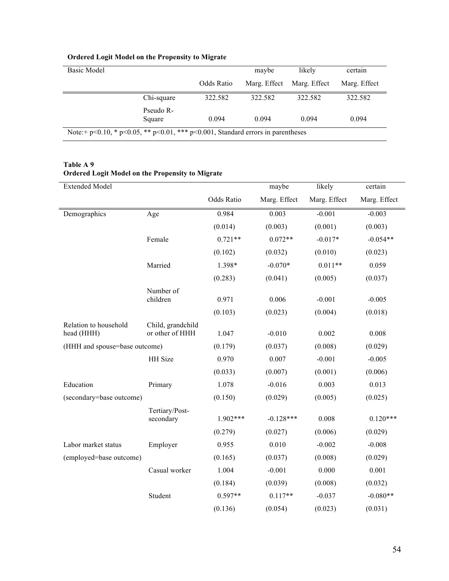| <b>Basic Model</b>                                                               |            | maybe        | likely       | certain      |  |
|----------------------------------------------------------------------------------|------------|--------------|--------------|--------------|--|
|                                                                                  | Odds Ratio | Marg. Effect | Marg. Effect | Marg. Effect |  |
| Chi-square                                                                       | 322.582    | 322.582      | 322.582      | 322.582      |  |
| Pseudo R-<br>Square                                                              | 0.094      | 0.094        | 0.094        | 0.094        |  |
| Note: + p<0.10, * p<0.05, ** p<0.01, *** p<0.001, Standard errors in parentheses |            |              |              |              |  |

| <b>Extended Model</b>               |                                      |            | maybe        | likely       | certain      |
|-------------------------------------|--------------------------------------|------------|--------------|--------------|--------------|
|                                     |                                      | Odds Ratio | Marg. Effect | Marg. Effect | Marg. Effect |
| Demographics                        | Age                                  | 0.984      | 0.003        | $-0.001$     | $-0.003$     |
|                                     |                                      | (0.014)    | (0.003)      | (0.001)      | (0.003)      |
|                                     | Female                               | $0.721**$  | $0.072**$    | $-0.017*$    | $-0.054**$   |
|                                     |                                      | (0.102)    | (0.032)      | (0.010)      | (0.023)      |
|                                     | Married                              | 1.398*     | $-0.070*$    | $0.011**$    | 0.059        |
|                                     |                                      | (0.283)    | (0.041)      | (0.005)      | (0.037)      |
|                                     | Number of<br>children                | 0.971      | 0.006        | $-0.001$     | $-0.005$     |
|                                     |                                      | (0.103)    | (0.023)      | (0.004)      | (0.018)      |
| Relation to household<br>head (HHH) | Child, grandchild<br>or other of HHH | 1.047      | $-0.010$     | 0.002        | 0.008        |
| (HHH and spouse=base outcome)       |                                      | (0.179)    | (0.037)      | (0.008)      | (0.029)      |
|                                     | HH Size                              | 0.970      | 0.007        | $-0.001$     | $-0.005$     |
|                                     |                                      | (0.033)    | (0.007)      | (0.001)      | (0.006)      |
| Education                           | Primary                              | 1.078      | $-0.016$     | 0.003        | 0.013        |
| (secondary=base outcome)            |                                      | (0.150)    | (0.029)      | (0.005)      | (0.025)      |
|                                     | Tertiary/Post-<br>secondary          | 1.902***   | $-0.128***$  | 0.008        | $0.120***$   |
|                                     |                                      | (0.279)    | (0.027)      | (0.006)      | (0.029)      |
| Labor market status                 | Employer                             | 0.955      | 0.010        | $-0.002$     | $-0.008$     |
| (employed=base outcome)             |                                      | (0.165)    | (0.037)      | (0.008)      | (0.029)      |
|                                     | Casual worker                        | 1.004      | $-0.001$     | 0.000        | 0.001        |
|                                     |                                      | (0.184)    | (0.039)      | (0.008)      | (0.032)      |
|                                     | Student                              | $0.597**$  | $0.117**$    | $-0.037$     | $-0.080**$   |
|                                     |                                      | (0.136)    | (0.054)      | (0.023)      | (0.031)      |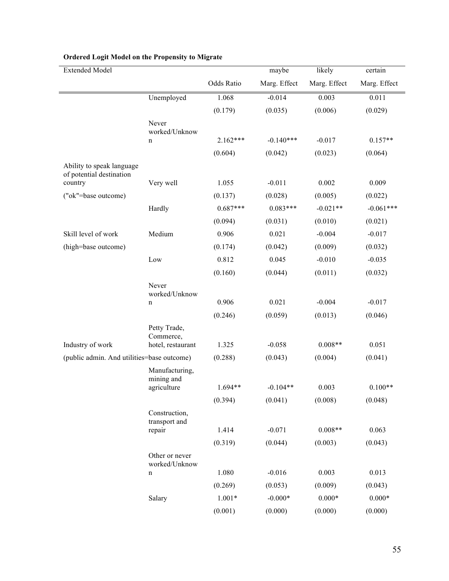| <b>Extended Model</b>                                 |                                                |            | maybe        | likely       | certain      |
|-------------------------------------------------------|------------------------------------------------|------------|--------------|--------------|--------------|
|                                                       |                                                | Odds Ratio | Marg. Effect | Marg. Effect | Marg. Effect |
|                                                       | Unemployed                                     | 1.068      | $-0.014$     | 0.003        | 0.011        |
|                                                       |                                                | (0.179)    | (0.035)      | (0.006)      | (0.029)      |
|                                                       | Never<br>worked/Unknow                         |            |              |              |              |
|                                                       | n                                              | $2.162***$ | $-0.140***$  | $-0.017$     | $0.157**$    |
|                                                       |                                                | (0.604)    | (0.042)      | (0.023)      | (0.064)      |
| Ability to speak language<br>of potential destination |                                                |            |              |              |              |
| country                                               | Very well                                      | 1.055      | $-0.011$     | 0.002        | 0.009        |
| ("ok"=base outcome)                                   |                                                | (0.137)    | (0.028)      | (0.005)      | (0.022)      |
|                                                       | Hardly                                         | $0.687***$ | $0.083***$   | $-0.021**$   | $-0.061***$  |
|                                                       |                                                | (0.094)    | (0.031)      | (0.010)      | (0.021)      |
| Skill level of work                                   | Medium                                         | 0.906      | 0.021        | $-0.004$     | $-0.017$     |
| (high=base outcome)                                   |                                                | (0.174)    | (0.042)      | (0.009)      | (0.032)      |
|                                                       | Low                                            | 0.812      | 0.045        | $-0.010$     | $-0.035$     |
|                                                       |                                                | (0.160)    | (0.044)      | (0.011)      | (0.032)      |
|                                                       | Never<br>worked/Unknow                         |            |              |              |              |
|                                                       | n                                              | 0.906      | 0.021        | $-0.004$     | $-0.017$     |
|                                                       |                                                | (0.246)    | (0.059)      | (0.013)      | (0.046)      |
| Industry of work                                      | Petty Trade,<br>Commerce,<br>hotel, restaurant | 1.325      | $-0.058$     | $0.008**$    | 0.051        |
| (public admin. And utilities=base outcome)            |                                                | (0.288)    | (0.043)      | (0.004)      | (0.041)      |
|                                                       | Manufacturing,<br>mining and<br>agriculture    | 1.694**    | $-0.104**$   | 0.003        | $0.100**$    |
|                                                       |                                                |            |              |              |              |
|                                                       |                                                | (0.394)    | (0.041)      | (0.008)      | (0.048)      |
|                                                       | Construction,<br>transport and<br>repair       | 1.414      | $-0.071$     | $0.008**$    | 0.063        |
|                                                       |                                                | (0.319)    | (0.044)      | (0.003)      | (0.043)      |
|                                                       | Other or never<br>worked/Unknow                |            |              |              |              |
|                                                       | n                                              | 1.080      | $-0.016$     | 0.003        | 0.013        |
|                                                       |                                                | (0.269)    | (0.053)      | (0.009)      | (0.043)      |
|                                                       | Salary                                         | $1.001*$   | $-0.000*$    | $0.000*$     | $0.000*$     |
|                                                       |                                                | (0.001)    | (0.000)      | (0.000)      | (0.000)      |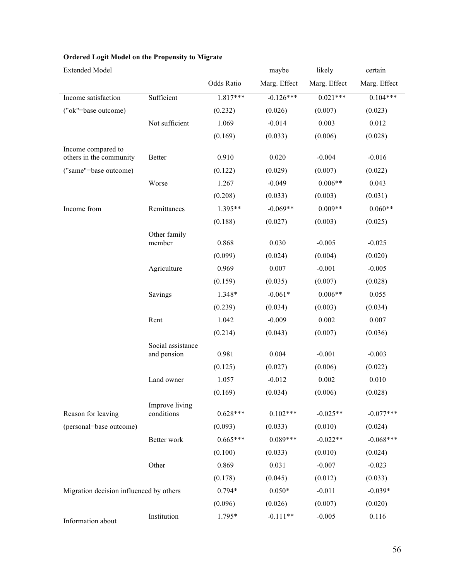| <b>Extended Model</b>                         |                                  |            | maybe        | likely       | certain      |
|-----------------------------------------------|----------------------------------|------------|--------------|--------------|--------------|
|                                               |                                  | Odds Ratio | Marg. Effect | Marg. Effect | Marg. Effect |
| Income satisfaction                           | Sufficient                       | $1.817***$ | $-0.126***$  | $0.021***$   | $0.104***$   |
| ("ok"=base outcome)                           |                                  | (0.232)    | (0.026)      | (0.007)      | (0.023)      |
|                                               | Not sufficient                   | 1.069      | $-0.014$     | 0.003        | 0.012        |
|                                               |                                  | (0.169)    | (0.033)      | (0.006)      | (0.028)      |
| Income compared to<br>others in the community | <b>Better</b>                    | 0.910      | 0.020        | $-0.004$     | $-0.016$     |
| ("same"=base outcome)                         |                                  | (0.122)    | (0.029)      | (0.007)      | (0.022)      |
|                                               | Worse                            | 1.267      | $-0.049$     | $0.006**$    | 0.043        |
|                                               |                                  | (0.208)    | (0.033)      | (0.003)      | (0.031)      |
| Income from                                   | Remittances                      | 1.395**    | $-0.069**$   | $0.009**$    | $0.060**$    |
|                                               |                                  | (0.188)    | (0.027)      | (0.003)      | (0.025)      |
|                                               | Other family<br>member           | 0.868      | 0.030        | $-0.005$     | $-0.025$     |
|                                               |                                  | (0.099)    | (0.024)      | (0.004)      | (0.020)      |
|                                               | Agriculture                      | 0.969      | 0.007        | $-0.001$     | $-0.005$     |
|                                               |                                  | (0.159)    | (0.035)      | (0.007)      | (0.028)      |
|                                               | Savings                          | 1.348*     | $-0.061*$    | $0.006**$    | 0.055        |
|                                               |                                  | (0.239)    | (0.034)      | (0.003)      | (0.034)      |
|                                               | Rent                             | 1.042      | $-0.009$     | 0.002        | 0.007        |
|                                               |                                  | (0.214)    | (0.043)      | (0.007)      | (0.036)      |
|                                               | Social assistance<br>and pension | 0.981      | 0.004        | $-0.001$     | $-0.003$     |
|                                               |                                  | (0.125)    | (0.027)      | (0.006)      | (0.022)      |
|                                               | Land owner                       | 1.057      | $-0.012$     | 0.002        | 0.010        |
|                                               |                                  | (0.169)    | (0.034)      | (0.006)      | (0.028)      |
| Reason for leaving                            | Improve living<br>conditions     | $0.628***$ | $0.102***$   | $-0.025**$   | $-0.077***$  |
| (personal=base outcome)                       |                                  | (0.093)    | (0.033)      | (0.010)      | (0.024)      |
|                                               | Better work                      | $0.665***$ | $0.089***$   | $-0.022**$   | $-0.068***$  |
|                                               |                                  | (0.100)    | (0.033)      | (0.010)      | (0.024)      |
|                                               | Other                            | 0.869      | 0.031        | $-0.007$     | $-0.023$     |
|                                               |                                  | (0.178)    | (0.045)      | (0.012)      | (0.033)      |
| Migration decision influenced by others       |                                  | $0.794*$   | $0.050*$     | $-0.011$     | $-0.039*$    |
|                                               |                                  | (0.096)    | (0.026)      | (0.007)      | (0.020)      |
|                                               | Institution                      | 1.795*     | $-0.111**$   | $-0.005$     | 0.116        |
| Information about                             |                                  |            |              |              |              |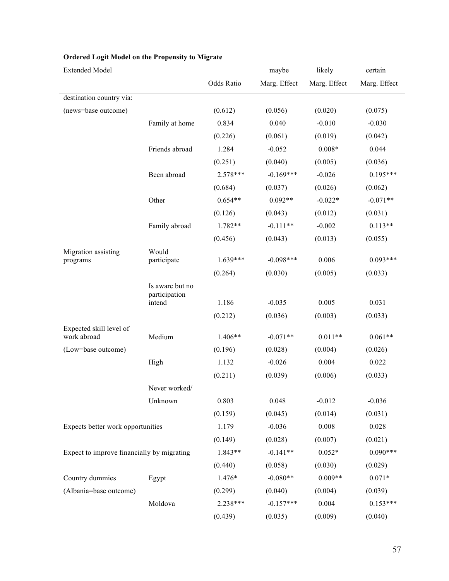| <b>Extended Model</b>                      |                                  |            | maybe        | likely       | certain      |
|--------------------------------------------|----------------------------------|------------|--------------|--------------|--------------|
|                                            |                                  | Odds Ratio | Marg. Effect | Marg. Effect | Marg. Effect |
| destination country via:                   |                                  |            |              |              |              |
| (news=base outcome)                        |                                  | (0.612)    | (0.056)      | (0.020)      | (0.075)      |
|                                            | Family at home                   | 0.834      | 0.040        | $-0.010$     | $-0.030$     |
|                                            |                                  | (0.226)    | (0.061)      | (0.019)      | (0.042)      |
|                                            | Friends abroad                   | 1.284      | $-0.052$     | $0.008*$     | 0.044        |
|                                            |                                  | (0.251)    | (0.040)      | (0.005)      | (0.036)      |
|                                            | Been abroad                      | $2.578***$ | $-0.169***$  | $-0.026$     | $0.195***$   |
|                                            |                                  | (0.684)    | (0.037)      | (0.026)      | (0.062)      |
|                                            | Other                            | $0.654**$  | $0.092**$    | $-0.022*$    | $-0.071**$   |
|                                            |                                  | (0.126)    | (0.043)      | (0.012)      | (0.031)      |
|                                            | Family abroad                    | 1.782**    | $-0.111**$   | $-0.002$     | $0.113**$    |
|                                            |                                  | (0.456)    | (0.043)      | (0.013)      | (0.055)      |
| Migration assisting                        | Would                            |            |              |              |              |
| programs                                   | participate                      | $1.639***$ | $-0.098***$  | 0.006        | $0.093***$   |
|                                            |                                  | (0.264)    | (0.030)      | (0.005)      | (0.033)      |
|                                            | Is aware but no<br>participation |            |              |              |              |
|                                            | intend                           | 1.186      | $-0.035$     | 0.005        | 0.031        |
|                                            |                                  | (0.212)    | (0.036)      | (0.003)      | (0.033)      |
| Expected skill level of                    |                                  |            |              |              |              |
| work abroad                                | Medium                           | $1.406**$  | $-0.071**$   | $0.011**$    | $0.061**$    |
| (Low=base outcome)                         |                                  | (0.196)    | (0.028)      | (0.004)      | (0.026)      |
|                                            | High                             | 1.132      | $-0.026$     | 0.004        | 0.022        |
|                                            |                                  | (0.211)    | (0.039)      | (0.006)      | (0.033)      |
|                                            | Never worked/                    |            |              |              |              |
|                                            | Unknown                          | 0.803      | 0.048        | $-0.012$     | $-0.036$     |
|                                            |                                  | (0.159)    | (0.045)      | (0.014)      | (0.031)      |
| Expects better work opportunities          |                                  | 1.179      | $-0.036$     | 0.008        | 0.028        |
|                                            |                                  | (0.149)    | (0.028)      | (0.007)      | (0.021)      |
| Expect to improve financially by migrating |                                  | 1.843**    | $-0.141**$   | $0.052*$     | $0.090***$   |
|                                            |                                  | (0.440)    | (0.058)      | (0.030)      | (0.029)      |
| Country dummies                            | Egypt                            | 1.476*     | $-0.080**$   | $0.009**$    | $0.071*$     |
| (Albania=base outcome)                     |                                  | (0.299)    | (0.040)      | (0.004)      | (0.039)      |
|                                            | Moldova                          | 2.238***   | $-0.157***$  | 0.004        | $0.153***$   |
|                                            |                                  | (0.439)    | (0.035)      | (0.009)      | (0.040)      |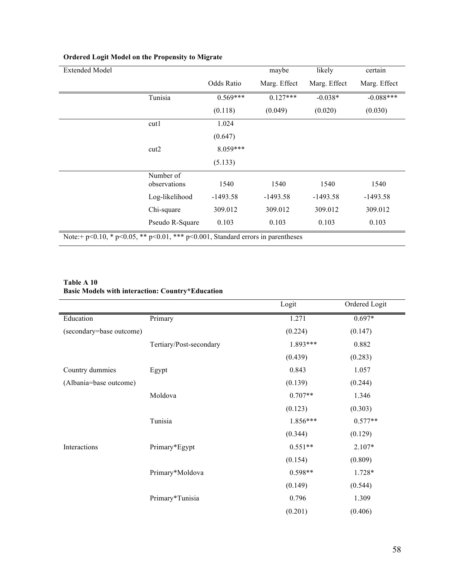| <b>Extended Model</b> |                                                                                             |            | maybe        | likely       | certain      |
|-----------------------|---------------------------------------------------------------------------------------------|------------|--------------|--------------|--------------|
|                       |                                                                                             | Odds Ratio | Marg. Effect | Marg. Effect | Marg. Effect |
|                       | Tunisia                                                                                     | $0.569***$ | $0.127***$   | $-0.038*$    | $-0.088***$  |
|                       |                                                                                             | (0.118)    | (0.049)      | (0.020)      | (0.030)      |
|                       | cut1                                                                                        | 1.024      |              |              |              |
|                       |                                                                                             | (0.647)    |              |              |              |
|                       | cut2                                                                                        | $8.059***$ |              |              |              |
|                       |                                                                                             | (5.133)    |              |              |              |
|                       | Number of<br>observations                                                                   | 1540       | 1540         | 1540         | 1540         |
|                       | Log-likelihood                                                                              | $-1493.58$ | $-1493.58$   | $-1493.58$   | $-1493.58$   |
|                       | Chi-square                                                                                  | 309.012    | 309.012      | 309.012      | 309.012      |
|                       | Pseudo R-Square                                                                             | 0.103      | 0.103        | 0.103        | 0.103        |
|                       | Note:+ $p<0.10$ , * $p<0.05$ , ** $p<0.01$ , *** $p<0.001$ , Standard errors in parentheses |            |              |              |              |

#### **Table A 10 Basic Models with interaction: Country\*Education**

|                          |                         | Logit     | Ordered Logit |
|--------------------------|-------------------------|-----------|---------------|
| Education                | Primary                 | 1.271     | $0.697*$      |
| (secondary=base outcome) |                         | (0.224)   | (0.147)       |
|                          | Tertiary/Post-secondary | 1.893***  | 0.882         |
|                          |                         | (0.439)   | (0.283)       |
| Country dummies          | Egypt                   | 0.843     | 1.057         |
| (Albania=base outcome)   |                         | (0.139)   | (0.244)       |
|                          | Moldova                 | $0.707**$ | 1.346         |
|                          |                         | (0.123)   | (0.303)       |
|                          | Tunisia                 | 1.856***  | $0.577**$     |
|                          |                         | (0.344)   | (0.129)       |
| Interactions             | Primary*Egypt           | $0.551**$ | 2.107*        |
|                          |                         | (0.154)   | (0.809)       |
|                          | Primary*Moldova         | $0.598**$ | 1.728*        |
|                          |                         | (0.149)   | (0.544)       |
|                          | Primary*Tunisia         | 0.796     | 1.309         |
|                          |                         | (0.201)   | (0.406)       |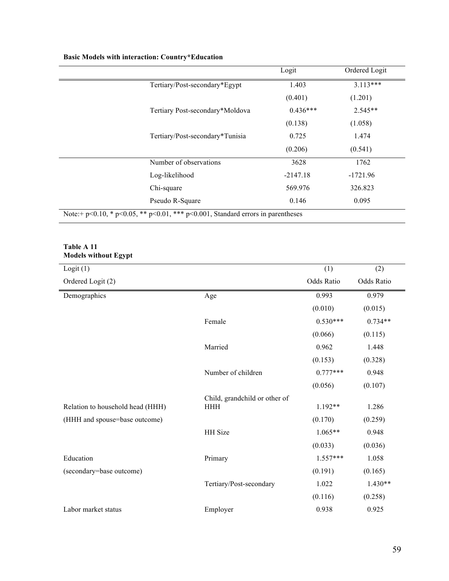|  |  | <b>Basic Models with interaction: Country*Education</b> |
|--|--|---------------------------------------------------------|
|--|--|---------------------------------------------------------|

|                                                                                  | Logit      | Ordered Logit |
|----------------------------------------------------------------------------------|------------|---------------|
| Tertiary/Post-secondary*Egypt                                                    | 1.403      | $3.113***$    |
|                                                                                  | (0.401)    | (1.201)       |
| Tertiary Post-secondary*Moldova                                                  | $0.436***$ | $2.545**$     |
|                                                                                  | (0.138)    | (1.058)       |
| Tertiary/Post-secondary*Tunisia                                                  | 0.725      | 1.474         |
|                                                                                  | (0.206)    | (0.541)       |
| Number of observations                                                           | 3628       | 1762          |
| Log-likelihood                                                                   | $-2147.18$ | $-1721.96$    |
| Chi-square                                                                       | 569.976    | 326.823       |
| Pseudo R-Square                                                                  | 0.146      | 0.095         |
| Note: + p<0.10, * p<0.05, ** p<0.01, *** p<0.001, Standard errors in parentheses |            |               |

#### **Table A 11 Models without Egypt**

| Logit $(1)$                      |                               | (1)        | (2)        |
|----------------------------------|-------------------------------|------------|------------|
| Ordered Logit (2)                |                               | Odds Ratio | Odds Ratio |
| Demographics                     | Age                           | 0.993      | 0.979      |
|                                  |                               | (0.010)    | (0.015)    |
|                                  | Female                        | $0.530***$ | $0.734**$  |
|                                  |                               | (0.066)    | (0.115)    |
|                                  | Married                       | 0.962      | 1.448      |
|                                  |                               | (0.153)    | (0.328)    |
|                                  | Number of children            | $0.777***$ | 0.948      |
|                                  |                               | (0.056)    | (0.107)    |
|                                  | Child, grandchild or other of |            |            |
| Relation to household head (HHH) | <b>HHH</b>                    | 1.192**    | 1.286      |
| (HHH and spouse=base outcome)    |                               | (0.170)    | (0.259)    |
|                                  | <b>HH</b> Size                | $1.065**$  | 0.948      |
|                                  |                               | (0.033)    | (0.036)    |
| Education                        | Primary                       | $1.557***$ | 1.058      |
| (secondary=base outcome)         |                               | (0.191)    | (0.165)    |
|                                  | Tertiary/Post-secondary       | 1.022      | $1.430**$  |
|                                  |                               | (0.116)    | (0.258)    |
| Labor market status              | Employer                      | 0.938      | 0.925      |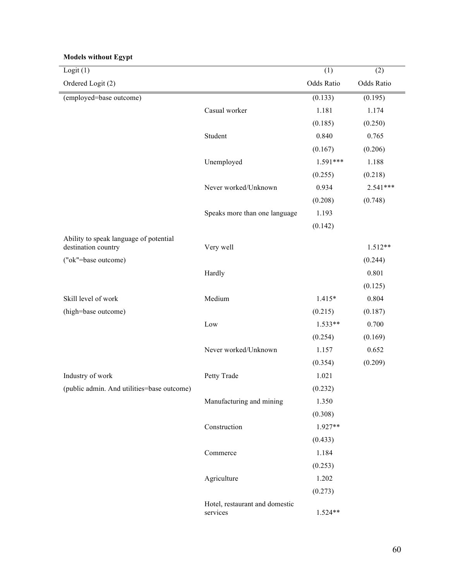| Logit(1)                                   |                                | (1)        | (2)        |
|--------------------------------------------|--------------------------------|------------|------------|
| Ordered Logit (2)                          |                                | Odds Ratio | Odds Ratio |
| (employed=base outcome)                    |                                | (0.133)    | (0.195)    |
|                                            | Casual worker                  | 1.181      | 1.174      |
|                                            |                                | (0.185)    | (0.250)    |
|                                            | Student                        | 0.840      | 0.765      |
|                                            |                                | (0.167)    | (0.206)    |
|                                            | Unemployed                     | $1.591***$ | 1.188      |
|                                            |                                | (0.255)    | (0.218)    |
|                                            | Never worked/Unknown           | 0.934      | $2.541***$ |
|                                            |                                | (0.208)    | (0.748)    |
|                                            | Speaks more than one language  | 1.193      |            |
|                                            |                                | (0.142)    |            |
| Ability to speak language of potential     |                                |            |            |
| destination country                        | Very well                      |            | $1.512**$  |
| ("ok"=base outcome)                        |                                |            | (0.244)    |
|                                            | Hardly                         |            | 0.801      |
|                                            |                                |            | (0.125)    |
| Skill level of work                        | Medium                         | $1.415*$   | 0.804      |
| (high=base outcome)                        |                                | (0.215)    | (0.187)    |
|                                            | Low                            | $1.533**$  | 0.700      |
|                                            |                                | (0.254)    | (0.169)    |
|                                            | Never worked/Unknown           | 1.157      | 0.652      |
|                                            |                                | (0.354)    | (0.209)    |
| Industry of work                           | Petty Trade                    | 1.021      |            |
| (public admin. And utilities=base outcome) |                                | (0.232)    |            |
|                                            | Manufacturing and mining       | 1.350      |            |
|                                            |                                | (0.308)    |            |
|                                            | Construction                   | $1.927**$  |            |
|                                            |                                | (0.433)    |            |
|                                            | Commerce                       | 1.184      |            |
|                                            |                                | (0.253)    |            |
|                                            | Agriculture                    | 1.202      |            |
|                                            | Hotel, restaurant and domestic | (0.273)    |            |
|                                            | services                       | $1.524**$  |            |

## **Models without Egypt**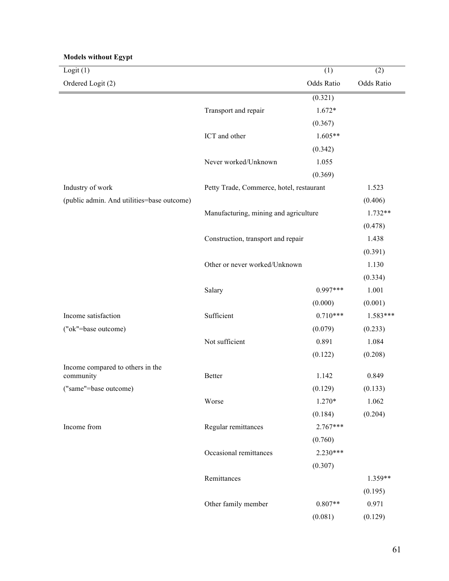| Logit $(1)$                                |                                          | (1)        | (2)        |
|--------------------------------------------|------------------------------------------|------------|------------|
| Ordered Logit (2)                          |                                          | Odds Ratio | Odds Ratio |
|                                            |                                          | (0.321)    |            |
|                                            | Transport and repair                     | $1.672*$   |            |
|                                            |                                          | (0.367)    |            |
|                                            | ICT and other                            | $1.605**$  |            |
|                                            |                                          | (0.342)    |            |
| Industry of work                           | Never worked/Unknown                     | 1.055      |            |
|                                            |                                          | (0.369)    |            |
|                                            | Petty Trade, Commerce, hotel, restaurant |            | 1.523      |
| (public admin. And utilities=base outcome) |                                          |            | (0.406)    |
|                                            | Manufacturing, mining and agriculture    |            | $1.732**$  |
|                                            |                                          |            |            |
|                                            | Construction, transport and repair       |            | 1.438      |
|                                            |                                          |            | (0.391)    |
|                                            | Other or never worked/Unknown            |            | 1.130      |
|                                            |                                          |            | (0.334)    |
|                                            | Salary                                   | $0.997***$ | 1.001      |
|                                            |                                          | (0.000)    | (0.001)    |
| Income satisfaction                        | Sufficient                               | $0.710***$ | 1.583***   |
| ("ok"=base outcome)                        |                                          | (0.079)    | (0.233)    |
|                                            | Not sufficient                           | 0.891      | 1.084      |
|                                            |                                          | (0.122)    | (0.208)    |
| Income compared to others in the           |                                          |            |            |
| community                                  | <b>Better</b>                            | 1.142      | 0.849      |
| ("same"=base outcome)                      |                                          | (0.129)    | (0.133)    |
|                                            | Worse                                    | $1.270*$   | 1.062      |
|                                            |                                          | (0.184)    | (0.204)    |
| Income from                                | Regular remittances                      | $2.767***$ |            |
|                                            |                                          | (0.760)    |            |
|                                            | Occasional remittances                   | $2.230***$ |            |
|                                            |                                          | (0.307)    |            |
|                                            | Remittances                              |            | 1.359**    |
|                                            |                                          |            | (0.195)    |
|                                            | Other family member                      | $0.807**$  | 0.971      |
|                                            |                                          | (0.081)    | (0.129)    |

#### **Models without Egypt**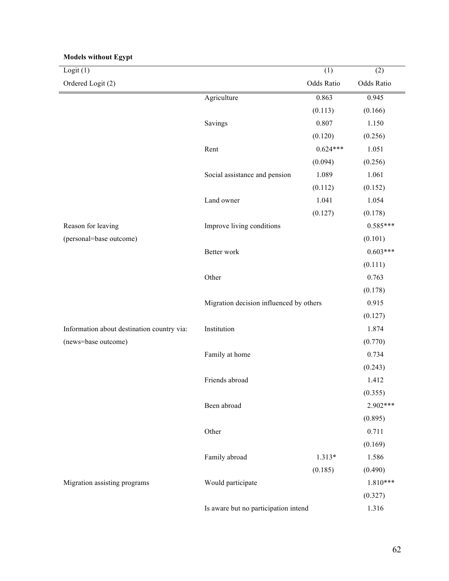| <b>Models without Egypt</b>                |                                         |            |            |
|--------------------------------------------|-----------------------------------------|------------|------------|
| Logit $(1)$                                |                                         | (1)        | (2)        |
| Ordered Logit (2)                          |                                         | Odds Ratio | Odds Ratio |
|                                            | Agriculture                             | 0.863      | 0.945      |
|                                            |                                         | (0.113)    | (0.166)    |
|                                            | Savings                                 | 0.807      | 1.150      |
|                                            |                                         | (0.120)    | (0.256)    |
|                                            | Rent                                    | $0.624***$ | 1.051      |
|                                            |                                         | (0.094)    | (0.256)    |
|                                            | Social assistance and pension           | 1.089      | 1.061      |
|                                            |                                         | (0.112)    | (0.152)    |
|                                            | Land owner                              | 1.041      | 1.054      |
|                                            |                                         | (0.127)    | (0.178)    |
| Reason for leaving                         | Improve living conditions               |            | $0.585***$ |
| (personal=base outcome)                    |                                         |            | (0.101)    |
|                                            | Better work                             |            | $0.603***$ |
|                                            |                                         |            | (0.111)    |
|                                            | Other                                   |            | 0.763      |
|                                            |                                         |            | (0.178)    |
|                                            | Migration decision influenced by others | 0.915      |            |
|                                            |                                         |            | (0.127)    |
| Information about destination country via: | Institution                             |            | 1.874      |
| (news=base outcome)                        |                                         |            | (0.770)    |
|                                            | Family at home                          |            | 0.734      |
|                                            |                                         |            | (0.243)    |
|                                            | Friends abroad                          |            | 1.412      |
|                                            |                                         |            | (0.355)    |
|                                            | Been abroad                             |            | 2.902***   |
|                                            |                                         |            | (0.895)    |
|                                            | Other                                   |            | 0.711      |
|                                            |                                         |            | (0.169)    |
|                                            | Family abroad                           | $1.313*$   | 1.586      |
|                                            |                                         | (0.185)    | (0.490)    |
| Migration assisting programs               | Would participate                       |            | $1.810***$ |
|                                            |                                         |            | (0.327)    |
|                                            | Is aware but no participation intend    |            | 1.316      |